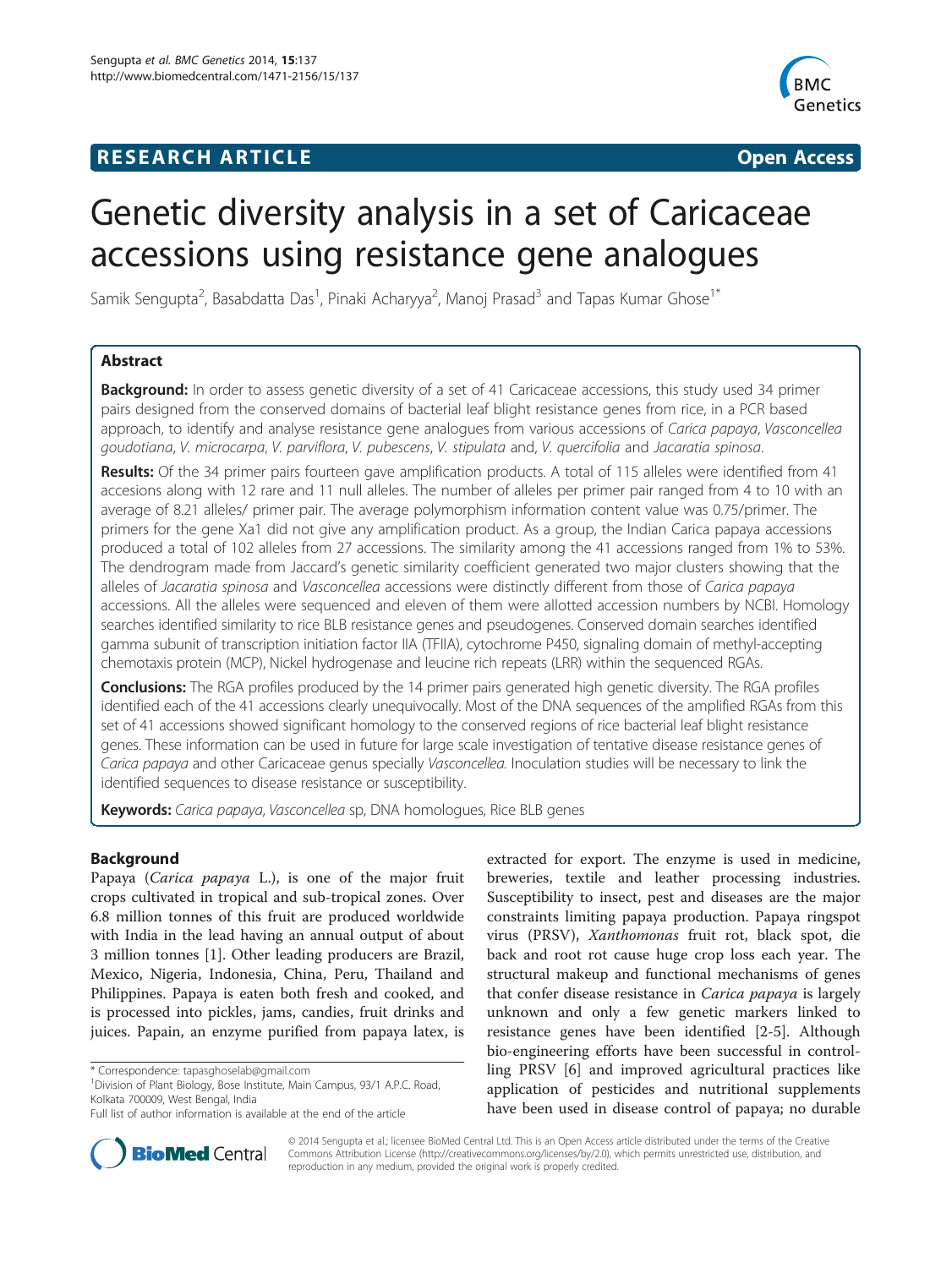## **RESEARCH ARTICLE Example 2014 CONSIDERING CONSIDERING CONSIDERING CONSIDERING CONSIDERING CONSIDERING CONSIDERING CONSIDERING CONSIDERING CONSIDERING CONSIDERING CONSIDERING CONSIDERING CONSIDERING CONSIDERING CONSIDE**



# Genetic diversity analysis in a set of Caricaceae accessions using resistance gene analogues

Samik Sengupta<sup>2</sup>, Basabdatta Das<sup>1</sup>, Pinaki Acharyya<sup>2</sup>, Manoj Prasad<sup>3</sup> and Tapas Kumar Ghose<sup>1\*</sup>

## Abstract

**Background:** In order to assess genetic diversity of a set of 41 Caricaceae accessions, this study used 34 primer pairs designed from the conserved domains of bacterial leaf blight resistance genes from rice, in a PCR based approach, to identify and analyse resistance gene analogues from various accessions of Carica papaya, Vasconcellea goudotiana, V. microcarpa, V. parviflora, V. pubescens, V. stipulata and, V. quercifolia and Jacaratia spinosa.

Results: Of the 34 primer pairs fourteen gave amplification products. A total of 115 alleles were identified from 41 accesions along with 12 rare and 11 null alleles. The number of alleles per primer pair ranged from 4 to 10 with an average of 8.21 alleles/ primer pair. The average polymorphism information content value was 0.75/primer. The primers for the gene Xa1 did not give any amplification product. As a group, the Indian Carica papaya accessions produced a total of 102 alleles from 27 accessions. The similarity among the 41 accessions ranged from 1% to 53%. The dendrogram made from Jaccard's genetic similarity coefficient generated two major clusters showing that the alleles of Jacaratia spinosa and Vasconcellea accessions were distinctly different from those of Carica papaya accessions. All the alleles were sequenced and eleven of them were allotted accession numbers by NCBI. Homology searches identified similarity to rice BLB resistance genes and pseudogenes. Conserved domain searches identified gamma subunit of transcription initiation factor IIA (TFIIA), cytochrome P450, signaling domain of methyl-accepting chemotaxis protein (MCP), Nickel hydrogenase and leucine rich repeats (LRR) within the sequenced RGAs.

**Conclusions:** The RGA profiles produced by the 14 primer pairs generated high genetic diversity. The RGA profiles identified each of the 41 accessions clearly unequivocally. Most of the DNA sequences of the amplified RGAs from this set of 41 accessions showed significant homology to the conserved regions of rice bacterial leaf blight resistance genes. These information can be used in future for large scale investigation of tentative disease resistance genes of Carica papaya and other Caricaceae genus specially Vasconcellea. Inoculation studies will be necessary to link the identified sequences to disease resistance or susceptibility.

Keywords: Carica papaya, Vasconcellea sp, DNA homologues, Rice BLB genes

## Background

Papaya (Carica papaya L.), is one of the major fruit crops cultivated in tropical and sub-tropical zones. Over 6.8 million tonnes of this fruit are produced worldwide with India in the lead having an annual output of about 3 million tonnes [\[1](#page-12-0)]. Other leading producers are Brazil, Mexico, Nigeria, Indonesia, China, Peru, Thailand and Philippines. Papaya is eaten both fresh and cooked, and is processed into pickles, jams, candies, fruit drinks and juices. Papain, an enzyme purified from papaya latex, is

<sup>1</sup> Division of Plant Biology, Bose Institute, Main Campus, 93/1 A.P.C. Road, Kolkata 700009, West Bengal, India

extracted for export. The enzyme is used in medicine, breweries, textile and leather processing industries. Susceptibility to insect, pest and diseases are the major constraints limiting papaya production. Papaya ringspot virus (PRSV), Xanthomonas fruit rot, black spot, die back and root rot cause huge crop loss each year. The structural makeup and functional mechanisms of genes that confer disease resistance in Carica papaya is largely unknown and only a few genetic markers linked to resistance genes have been identified [[2-5](#page-12-0)]. Although bio-engineering efforts have been successful in controlling PRSV [[6\]](#page-12-0) and improved agricultural practices like application of pesticides and nutritional supplements have been used in disease control of papaya; no durable



© 2014 Sengupta et al.; licensee BioMed Central Ltd. This is an Open Access article distributed under the terms of the Creative Commons Attribution License [\(http://creativecommons.org/licenses/by/2.0\)](http://creativecommons.org/licenses/by/2.0), which permits unrestricted use, distribution, and reproduction in any medium, provided the original work is properly credited.

<sup>\*</sup> Correspondence: [tapasghoselab@gmail.com](mailto:tapasghoselab@gmail.com) <sup>1</sup>

Full list of author information is available at the end of the article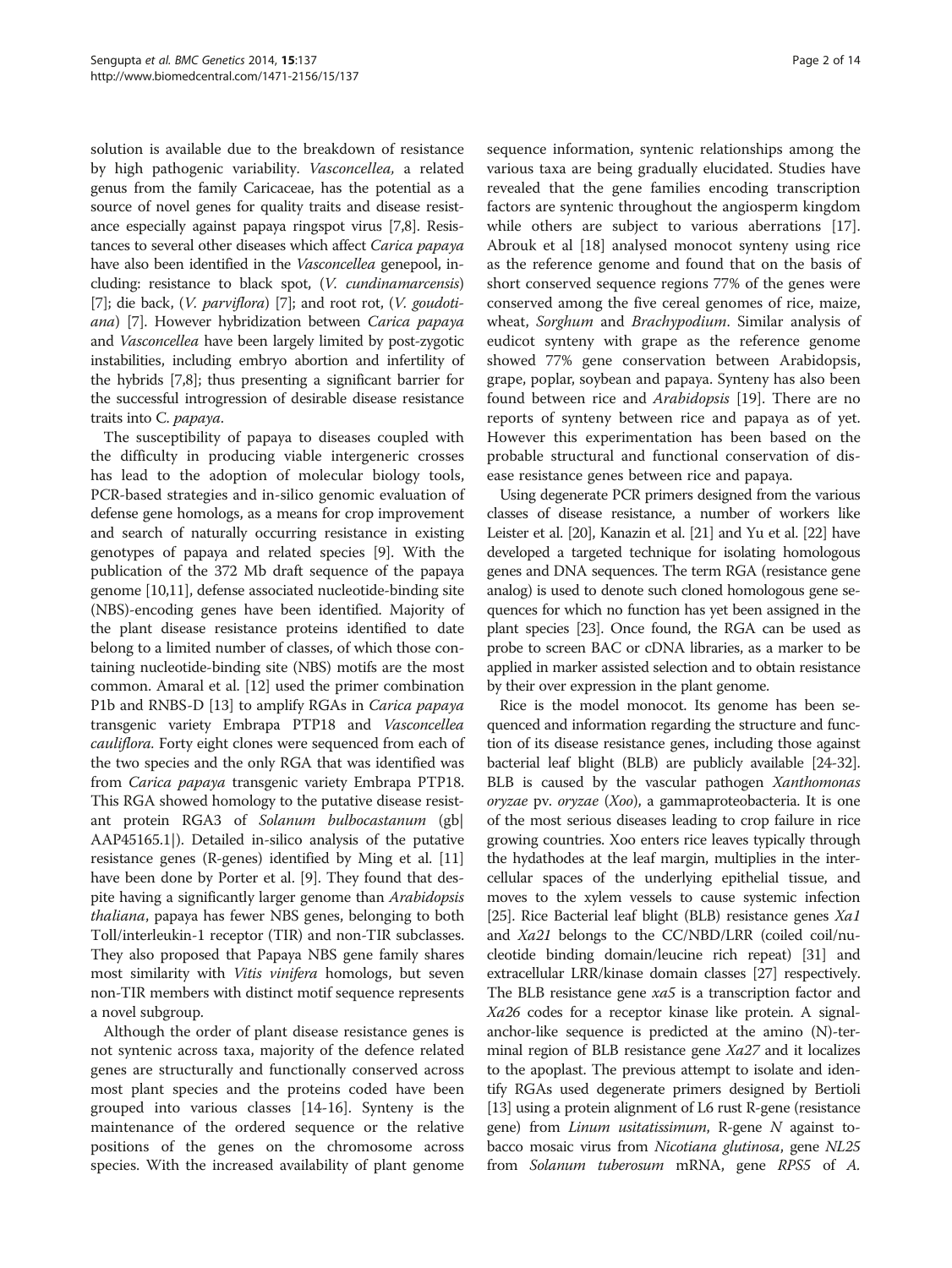solution is available due to the breakdown of resistance by high pathogenic variability. Vasconcellea, a related genus from the family Caricaceae, has the potential as a source of novel genes for quality traits and disease resistance especially against papaya ringspot virus [\[7,8\]](#page-12-0). Resistances to several other diseases which affect Carica papaya have also been identified in the *Vasconcellea* genepool, including: resistance to black spot, (V. cundinamarcensis) [[7](#page-12-0)]; die back,  $(V.$  parviflora) [\[7\]](#page-12-0); and root rot,  $(V.$  goudotiana) [\[7](#page-12-0)]. However hybridization between Carica papaya and Vasconcellea have been largely limited by post-zygotic instabilities, including embryo abortion and infertility of the hybrids [\[7,8\]](#page-12-0); thus presenting a significant barrier for the successful introgression of desirable disease resistance traits into C. papaya.

The susceptibility of papaya to diseases coupled with the difficulty in producing viable intergeneric crosses has lead to the adoption of molecular biology tools, PCR-based strategies and in-silico genomic evaluation of defense gene homologs, as a means for crop improvement and search of naturally occurring resistance in existing genotypes of papaya and related species [[9](#page-12-0)]. With the publication of the 372 Mb draft sequence of the papaya genome [\[10,11](#page-12-0)], defense associated nucleotide-binding site (NBS)-encoding genes have been identified. Majority of the plant disease resistance proteins identified to date belong to a limited number of classes, of which those containing nucleotide-binding site (NBS) motifs are the most common. Amaral et al. [\[12](#page-12-0)] used the primer combination P1b and RNBS-D [[13](#page-12-0)] to amplify RGAs in *Carica papaya* transgenic variety Embrapa PTP18 and Vasconcellea cauliflora. Forty eight clones were sequenced from each of the two species and the only RGA that was identified was from Carica papaya transgenic variety Embrapa PTP18. This RGA showed homology to the putative disease resistant protein RGA3 of Solanum bulbocastanum (gb| AAP45165.1|). Detailed in-silico analysis of the putative resistance genes (R-genes) identified by Ming et al. [[11](#page-12-0)] have been done by Porter et al. [[9\]](#page-12-0). They found that despite having a significantly larger genome than Arabidopsis thaliana, papaya has fewer NBS genes, belonging to both Toll/interleukin-1 receptor (TIR) and non-TIR subclasses. They also proposed that Papaya NBS gene family shares most similarity with *Vitis vinifera* homologs, but seven non-TIR members with distinct motif sequence represents a novel subgroup.

Although the order of plant disease resistance genes is not syntenic across taxa, majority of the defence related genes are structurally and functionally conserved across most plant species and the proteins coded have been grouped into various classes [[14](#page-12-0)-[16\]](#page-12-0). Synteny is the maintenance of the ordered sequence or the relative positions of the genes on the chromosome across species. With the increased availability of plant genome

sequence information, syntenic relationships among the various taxa are being gradually elucidated. Studies have revealed that the gene families encoding transcription factors are syntenic throughout the angiosperm kingdom while others are subject to various aberrations [\[17](#page-12-0)]. Abrouk et al [[18\]](#page-12-0) analysed monocot synteny using rice as the reference genome and found that on the basis of short conserved sequence regions 77% of the genes were conserved among the five cereal genomes of rice, maize, wheat, Sorghum and Brachypodium. Similar analysis of eudicot synteny with grape as the reference genome showed 77% gene conservation between Arabidopsis, grape, poplar, soybean and papaya. Synteny has also been found between rice and Arabidopsis [[19\]](#page-12-0). There are no reports of synteny between rice and papaya as of yet. However this experimentation has been based on the probable structural and functional conservation of disease resistance genes between rice and papaya.

Using degenerate PCR primers designed from the various classes of disease resistance, a number of workers like Leister et al. [\[20\]](#page-12-0), Kanazin et al. [\[21\]](#page-12-0) and Yu et al. [\[22\]](#page-12-0) have developed a targeted technique for isolating homologous genes and DNA sequences. The term RGA (resistance gene analog) is used to denote such cloned homologous gene sequences for which no function has yet been assigned in the plant species [\[23\]](#page-12-0). Once found, the RGA can be used as probe to screen BAC or cDNA libraries, as a marker to be applied in marker assisted selection and to obtain resistance by their over expression in the plant genome.

Rice is the model monocot. Its genome has been sequenced and information regarding the structure and function of its disease resistance genes, including those against bacterial leaf blight (BLB) are publicly available [\[24](#page-12-0)-[32](#page-12-0)]. BLB is caused by the vascular pathogen Xanthomonas oryzae pv. oryzae (Xoo), a gammaproteobacteria. It is one of the most serious diseases leading to crop failure in rice growing countries. Xoo enters rice leaves typically through the hydathodes at the leaf margin, multiplies in the intercellular spaces of the underlying epithelial tissue, and moves to the xylem vessels to cause systemic infection [[25](#page-12-0)]. Rice Bacterial leaf blight (BLB) resistance genes Xa1 and Xa21 belongs to the CC/NBD/LRR (coiled coil/nucleotide binding domain/leucine rich repeat) [[31](#page-12-0)] and extracellular LRR/kinase domain classes [\[27\]](#page-12-0) respectively. The BLB resistance gene xa5 is a transcription factor and Xa26 codes for a receptor kinase like protein. A signalanchor-like sequence is predicted at the amino (N)-terminal region of BLB resistance gene Xa27 and it localizes to the apoplast. The previous attempt to isolate and identify RGAs used degenerate primers designed by Bertioli [[13](#page-12-0)] using a protein alignment of L6 rust R-gene (resistance gene) from *Linum usitatissimum*, R-gene  $N$  against tobacco mosaic virus from Nicotiana glutinosa, gene NL25 from Solanum tuberosum mRNA, gene RPS5 of A.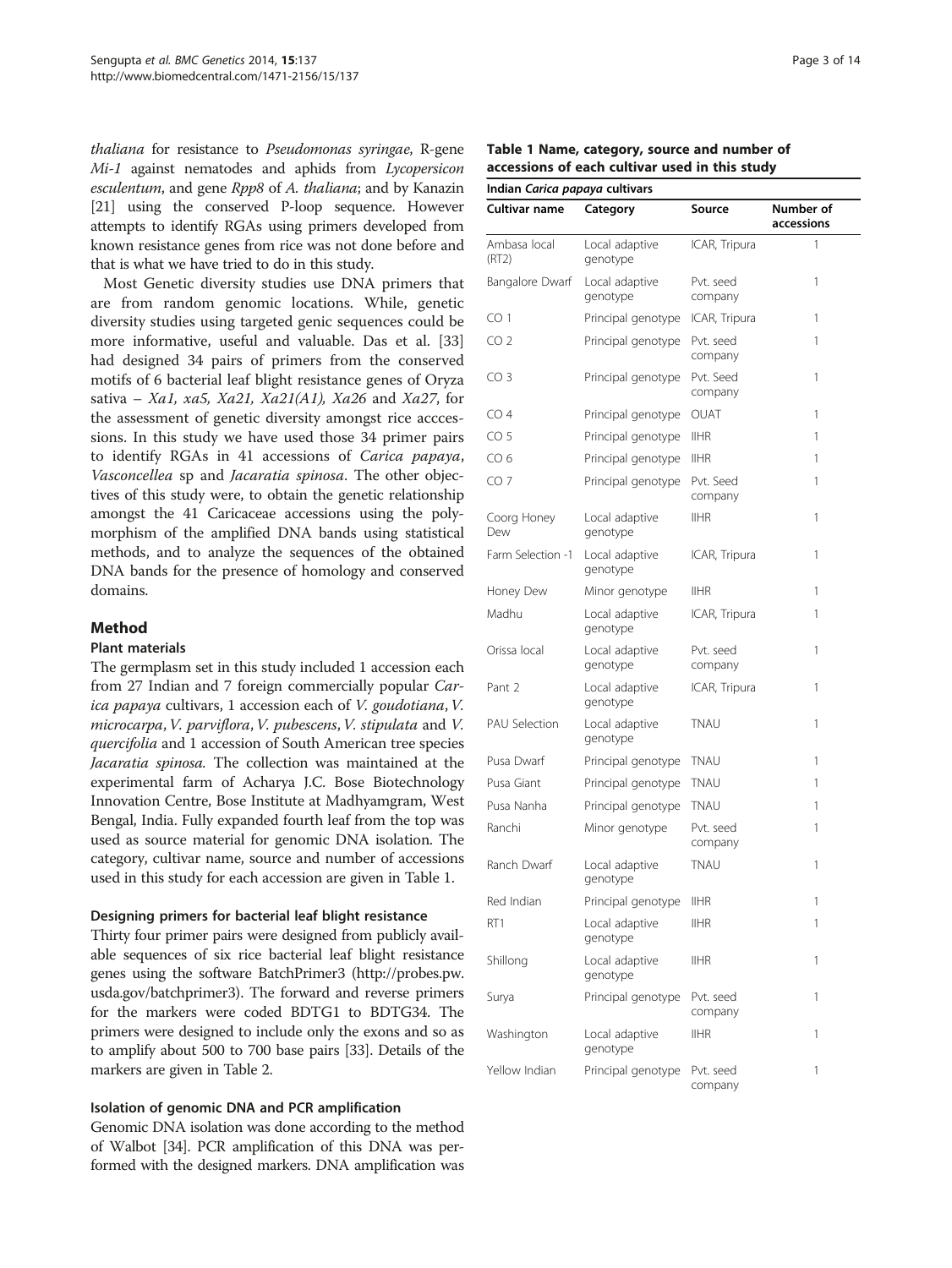thaliana for resistance to Pseudomonas syringae, R-gene Mi-1 against nematodes and aphids from Lycopersicon esculentum, and gene Rpp8 of A. thaliana; and by Kanazin [[21](#page-12-0)] using the conserved P-loop sequence. However attempts to identify RGAs using primers developed from known resistance genes from rice was not done before and that is what we have tried to do in this study.

Most Genetic diversity studies use DNA primers that are from random genomic locations. While, genetic diversity studies using targeted genic sequences could be more informative, useful and valuable. Das et al. [[33](#page-12-0)] had designed 34 pairs of primers from the conserved motifs of 6 bacterial leaf blight resistance genes of Oryza sativa – Xa1, xa5, Xa21, Xa21(A1), Xa26 and Xa27, for the assessment of genetic diversity amongst rice acccessions. In this study we have used those 34 primer pairs to identify RGAs in 41 accessions of Carica papaya, Vasconcellea sp and Jacaratia spinosa. The other objectives of this study were, to obtain the genetic relationship amongst the 41 Caricaceae accessions using the polymorphism of the amplified DNA bands using statistical methods, and to analyze the sequences of the obtained DNA bands for the presence of homology and conserved domains.

## Method

#### Plant materials

The germplasm set in this study included 1 accession each from 27 Indian and 7 foreign commercially popular Carica papaya cultivars, 1 accession each of V. goudotiana,V. microcarpa, V. parviflora, V. pubescens, V. stipulata and V. quercifolia and 1 accession of South American tree species Jacaratia spinosa. The collection was maintained at the experimental farm of Acharya J.C. Bose Biotechnology Innovation Centre, Bose Institute at Madhyamgram, West Bengal, India. Fully expanded fourth leaf from the top was used as source material for genomic DNA isolation. The category, cultivar name, source and number of accessions used in this study for each accession are given in Table 1.

## Designing primers for bacterial leaf blight resistance

Thirty four primer pairs were designed from publicly available sequences of six rice bacterial leaf blight resistance genes using the software BatchPrimer3 [\(http://probes.pw.](http://probes.pw.usda.gov/batchprimer3) [usda.gov/batchprimer3](http://probes.pw.usda.gov/batchprimer3)). The forward and reverse primers for the markers were coded BDTG1 to BDTG34. The primers were designed to include only the exons and so as to amplify about 500 to 700 base pairs [[33](#page-12-0)]. Details of the markers are given in Table [2.](#page-4-0)

## Isolation of genomic DNA and PCR amplification

Genomic DNA isolation was done according to the method of Walbot [[34](#page-12-0)]. PCR amplification of this DNA was performed with the designed markers. DNA amplification was

| Table 1 Name, category, source and number of   |  |  |  |
|------------------------------------------------|--|--|--|
| accessions of each cultivar used in this study |  |  |  |

Indian Carica papaya cultivars

| mulan Canca <i>pupuyu</i> Cultival s |                            |                      |                         |
|--------------------------------------|----------------------------|----------------------|-------------------------|
| Cultivar name                        | Category                   | Source               | Number of<br>accessions |
| Ambasa local<br>(RT2)                | Local adaptive<br>genotype | ICAR, Tripura        | 1                       |
| Bangalore Dwarf                      | Local adaptive<br>genotype | Pvt. seed<br>company | 1                       |
| CO <sub>1</sub>                      | Principal genotype         | ICAR, Tripura        | 1                       |
| CO <sub>2</sub>                      | Principal genotype         | Pvt. seed<br>company | 1                       |
| CO <sub>3</sub>                      | Principal genotype         | Pvt. Seed<br>company | 1                       |
| CO <sub>4</sub>                      | Principal genotype         | OUAT                 | 1                       |
| CO <sub>5</sub>                      | Principal genotype         | <b>IIHR</b>          | 1                       |
| CO <sub>6</sub>                      | Principal genotype         | <b>IIHR</b>          | 1                       |
| CO <sub>7</sub>                      | Principal genotype         | Pvt. Seed<br>company | 1                       |
| Coorg Honey<br>Dew                   | Local adaptive<br>genotype | <b>IIHR</b>          | 1                       |
| Farm Selection -1                    | Local adaptive<br>genotype | ICAR, Tripura        | 1                       |
| Honey Dew                            | Minor genotype             | <b>IIHR</b>          | 1                       |
| Madhu                                | Local adaptive<br>genotype | ICAR, Tripura        | 1                       |
| Orissa local                         | Local adaptive<br>genotype | Pvt. seed<br>company | 1                       |
| Pant 2                               | Local adaptive<br>genotype | ICAR, Tripura        | 1                       |
| <b>PAU Selection</b>                 | Local adaptive<br>genotype | TNAU                 | 1                       |
| Pusa Dwarf                           | Principal genotype         | <b>TNAU</b>          | 1                       |
| Pusa Giant                           | Principal genotype         | TNAU                 | 1                       |
| Pusa Nanha                           | Principal genotype         | TNAU                 | 1                       |
| Ranchi                               | Minor genotype             | Pvt. seed<br>company | 1                       |
| Ranch Dwarf                          | Local adaptive<br>genotype | TNAU                 | 1                       |
| Red Indian                           | Principal genotype         | IIHR                 | 1                       |
| RT1                                  | Local adaptive<br>genotype | IIHR                 | 1                       |
| Shillong                             | Local adaptive<br>genotype | <b>IIHR</b>          | 1                       |
| Surya                                | Principal genotype         | Pvt. seed<br>company | 1                       |
| Washington                           | Local adaptive<br>genotype | <b>IIHR</b>          | 1                       |
| Yellow Indian                        | Principal genotype         | Pvt. seed<br>company | 1                       |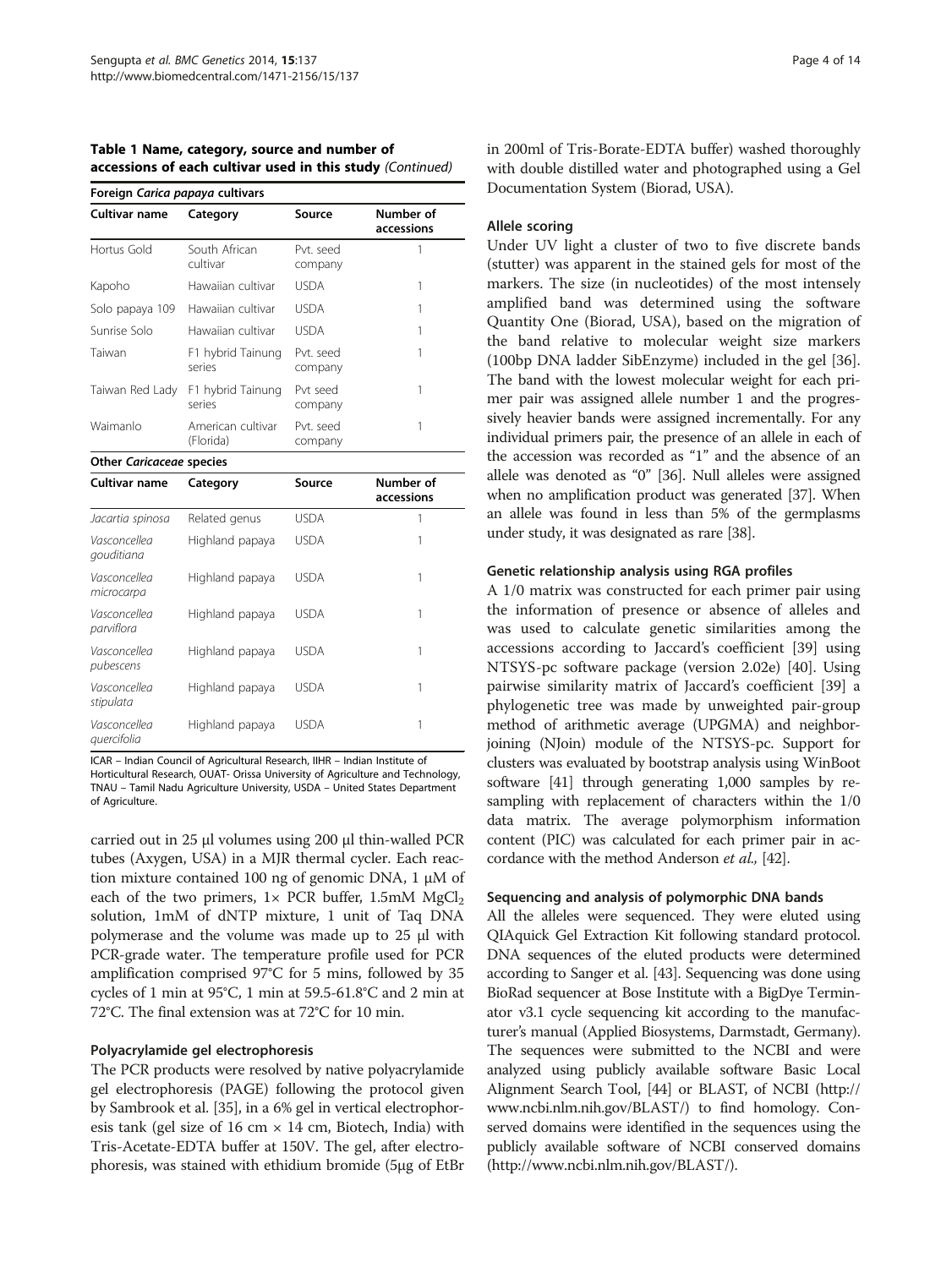| Foreign Carica papaya cultivars |                                |                      |                         |
|---------------------------------|--------------------------------|----------------------|-------------------------|
| <b>Cultivar name</b>            | Category                       | Source               | Number of<br>accessions |
| Hortus Gold                     | South African<br>cultivar      | Pvt. seed<br>company | 1                       |
| Kapoho                          | Hawaiian cultivar              | <b>USDA</b>          | 1                       |
| Solo papaya 109                 | Hawaiian cultivar              | <b>USDA</b>          | 1                       |
| Sunrise Solo                    | Hawaiian cultivar              | <b>USDA</b>          | 1                       |
| Taiwan                          | F1 hybrid Tainung<br>series    | Pvt. seed<br>company | 1                       |
| Taiwan Red Lady                 | F1 hybrid Tainung<br>series    | Pvt seed<br>company  | 1                       |
| Waimanlo                        | American cultivar<br>(Florida) | Pvt. seed<br>company | 1                       |
| Other Caricaceae species        |                                |                      |                         |
| Cultivar name                   | Category                       | Source               | Number of<br>accessions |
| Jacartia spinosa                | Related genus                  | <b>USDA</b>          | 1                       |
| Vasconcellea<br>gouditiana      | Highland papaya                | <b>USDA</b>          | 1                       |
| Vasconcellea<br>microcarpa      | Highland papaya                | <b>USDA</b>          | 1                       |
| Vasconcellea<br>parviflora      | Highland papaya                | <b>USDA</b>          | 1                       |
| Vasconcellea<br>pubescens       | Highland papaya                | <b>USDA</b>          | 1                       |
| Vasconcellea<br>stipulata       | Highland papaya                | <b>USDA</b>          | 1                       |
| Vasconcellea<br>quercifolia     | Highland papaya                | <b>USDA</b>          | 1                       |

Table 1 Name, category, source and number of accessions of each cultivar used in this study (Continued)

ICAR – Indian Council of Agricultural Research, IIHR – Indian Institute of Horticultural Research, OUAT- Orissa University of Agriculture and Technology, TNAU – Tamil Nadu Agriculture University, USDA – United States Department of Agriculture.

carried out in 25 μl volumes using 200 μl thin-walled PCR tubes (Axygen, USA) in a MJR thermal cycler. Each reaction mixture contained 100 ng of genomic DNA, 1 μM of each of the two primers,  $1 \times PCR$  buffer,  $1.5 \text{mM}$  MgCl<sub>2</sub> solution, 1mM of dNTP mixture, 1 unit of Taq DNA polymerase and the volume was made up to 25 μl with PCR-grade water. The temperature profile used for PCR amplification comprised 97°C for 5 mins, followed by 35 cycles of 1 min at 95°C, 1 min at 59.5-61.8°C and 2 min at 72°C. The final extension was at 72°C for 10 min.

#### Polyacrylamide gel electrophoresis

The PCR products were resolved by native polyacrylamide gel electrophoresis (PAGE) following the protocol given by Sambrook et al. [\[35](#page-12-0)], in a 6% gel in vertical electrophoresis tank (gel size of 16 cm  $\times$  14 cm, Biotech, India) with Tris-Acetate-EDTA buffer at 150V. The gel, after electrophoresis, was stained with ethidium bromide (5μg of EtBr in 200ml of Tris-Borate-EDTA buffer) washed thoroughly with double distilled water and photographed using a Gel Documentation System (Biorad, USA).

#### Allele scoring

Under UV light a cluster of two to five discrete bands (stutter) was apparent in the stained gels for most of the markers. The size (in nucleotides) of the most intensely amplified band was determined using the software Quantity One (Biorad, USA), based on the migration of the band relative to molecular weight size markers (100bp DNA ladder SibEnzyme) included in the gel [\[36](#page-12-0)]. The band with the lowest molecular weight for each primer pair was assigned allele number 1 and the progressively heavier bands were assigned incrementally. For any individual primers pair, the presence of an allele in each of the accession was recorded as "1" and the absence of an allele was denoted as "0" [[36](#page-12-0)]. Null alleles were assigned when no amplification product was generated [\[37](#page-12-0)]. When an allele was found in less than 5% of the germplasms under study, it was designated as rare [\[38\]](#page-12-0).

#### Genetic relationship analysis using RGA profiles

A 1/0 matrix was constructed for each primer pair using the information of presence or absence of alleles and was used to calculate genetic similarities among the accessions according to Jaccard's coefficient [[39\]](#page-13-0) using NTSYS-pc software package (version 2.02e) [[40\]](#page-13-0). Using pairwise similarity matrix of Jaccard's coefficient [[39\]](#page-13-0) a phylogenetic tree was made by unweighted pair-group method of arithmetic average (UPGMA) and neighborjoining (NJoin) module of the NTSYS-pc. Support for clusters was evaluated by bootstrap analysis using WinBoot software [\[41\]](#page-13-0) through generating 1,000 samples by resampling with replacement of characters within the 1/0 data matrix. The average polymorphism information content (PIC) was calculated for each primer pair in accordance with the method Anderson et al., [[42](#page-13-0)].

#### Sequencing and analysis of polymorphic DNA bands

All the alleles were sequenced. They were eluted using QIAquick Gel Extraction Kit following standard protocol. DNA sequences of the eluted products were determined according to Sanger et al. [[43](#page-13-0)]. Sequencing was done using BioRad sequencer at Bose Institute with a BigDye Terminator v3.1 cycle sequencing kit according to the manufacturer's manual (Applied Biosystems, Darmstadt, Germany). The sequences were submitted to the NCBI and were analyzed using publicly available software Basic Local Alignment Search Tool, [\[44\]](#page-13-0) or BLAST, of NCBI [\(http://](http://www.ncbi.nlm.nih.gov/BLAST/) [www.ncbi.nlm.nih.gov/BLAST/](http://www.ncbi.nlm.nih.gov/BLAST/)) to find homology. Conserved domains were identified in the sequences using the publicly available software of NCBI conserved domains ([http://www.ncbi.nlm.nih.gov/BLAST/\)](http://www.ncbi.nlm.nih.gov/BLAST/).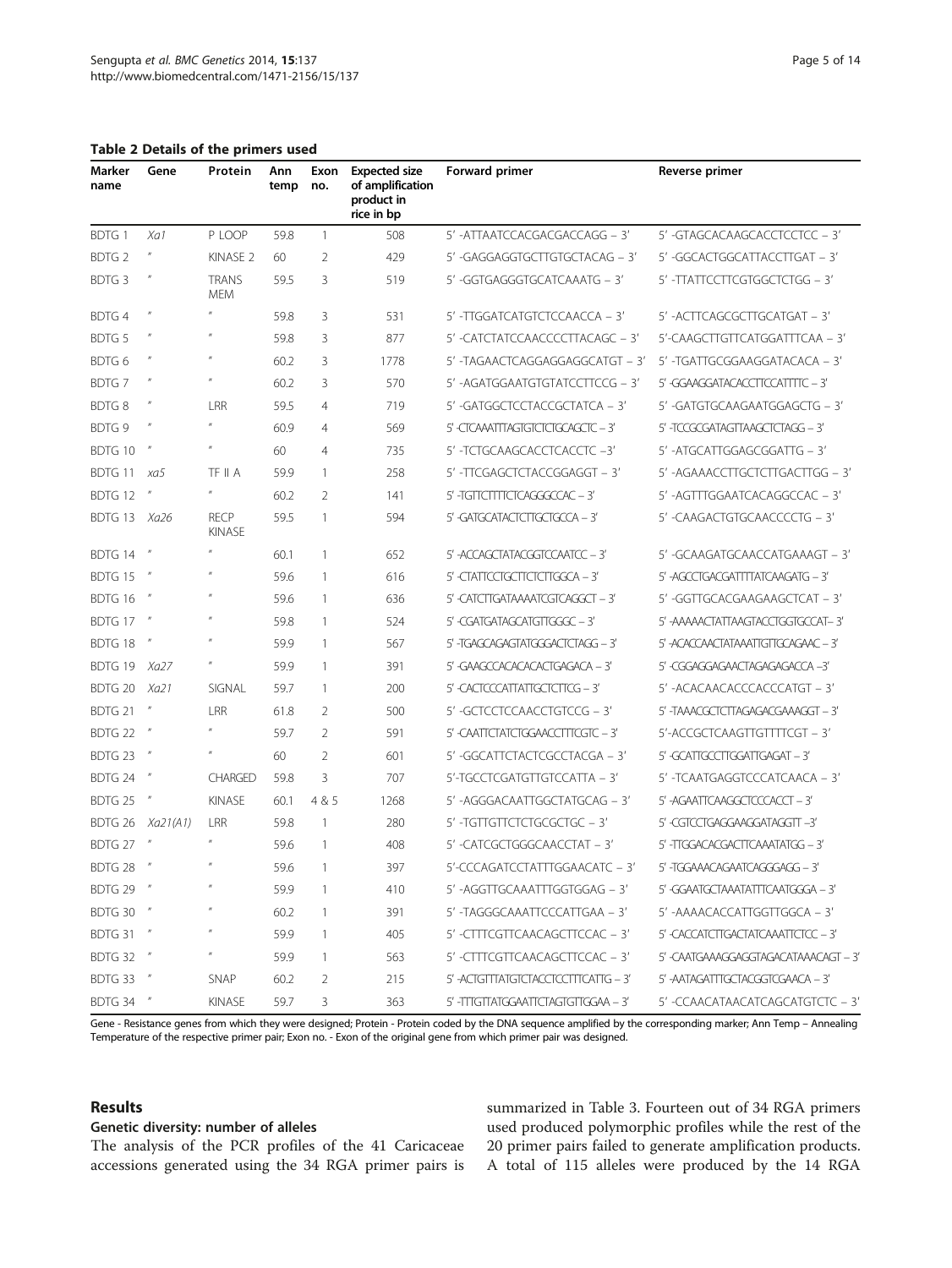<span id="page-4-0"></span>Table 2 Details of the primers used

| Marker<br>name    | Gene                        | Protein                                                                                                                                                                                                                                                                                                                                                                                                                                                         | Ann<br>temp | Exon<br>no.    | <b>Expected size</b><br>of amplification<br>product in<br>rice in bp | Forward primer                      | Reverse primer                       |
|-------------------|-----------------------------|-----------------------------------------------------------------------------------------------------------------------------------------------------------------------------------------------------------------------------------------------------------------------------------------------------------------------------------------------------------------------------------------------------------------------------------------------------------------|-------------|----------------|----------------------------------------------------------------------|-------------------------------------|--------------------------------------|
| BDTG 1            | Xa1                         | P LOOP                                                                                                                                                                                                                                                                                                                                                                                                                                                          | 59.8        | $\mathbf{1}$   | 508                                                                  | 5' -ATTAATCCACGACGACCAGG - 3'       | 5' -GTAGCACAAGCACCTCCTCC - 3'        |
| <b>BDTG 2</b>     | $\boldsymbol{\mathit{II}}$  | KINASE <sub>2</sub>                                                                                                                                                                                                                                                                                                                                                                                                                                             | 60          | $\overline{2}$ | 429                                                                  | 5' -GAGGAGGTGCTTGTGCTACAG – 3'      | 5' -GGCACTGGCATTACCTTGAT – 3'        |
| BDTG 3            | $\boldsymbol{\mathit{II}}$  | <b>TRANS</b><br><b>MEM</b>                                                                                                                                                                                                                                                                                                                                                                                                                                      | 59.5        | 3              | 519                                                                  | 5' -GGTGAGGGTGCATCAAATG - 3'        | 5' -TTATTCCTTCGTGGCTCTGG – 3'        |
| <b>BDTG4</b>      | $\boldsymbol{\mathit{II}}$  | $\boldsymbol{\mathit{II}}$                                                                                                                                                                                                                                                                                                                                                                                                                                      | 59.8        | 3              | 531                                                                  | 5' -TTGGATCATGTCTCCAACCA - 3'       | 5' -ACTTCAGCGCTTGCATGAT - 3'         |
| <b>BDTG5</b>      | $\boldsymbol{\prime\prime}$ |                                                                                                                                                                                                                                                                                                                                                                                                                                                                 | 59.8        | 3              | 877                                                                  | 5' -CATCTATCCAACCCCTTACAGC - 3'     | 5'-CAAGCTTGTTCATGGATTTCAA - 3'       |
| BDTG 6            | $\boldsymbol{\eta}$         | $\boldsymbol{\mathit{II}}$                                                                                                                                                                                                                                                                                                                                                                                                                                      | 60.2        | 3              | 1778                                                                 | 5' -TAGAACTCAGGAGGAGGCATGT - 3'     | 5' -TGATTGCGGAAGGATACACA – 3'        |
| <b>BDTG7</b>      | $\boldsymbol{\mathit{II}}$  | $^{\prime\prime}$                                                                                                                                                                                                                                                                                                                                                                                                                                               | 60.2        | 3              | 570                                                                  | 5' - AGATGGAATGTGTATCCTTCCG - 3'    | 5' -GGAAGGATACACCTTCCATTTTC - 3'     |
| <b>BDTG8</b>      | $\boldsymbol{\prime\prime}$ | LRR                                                                                                                                                                                                                                                                                                                                                                                                                                                             | 59.5        | $\overline{4}$ | 719                                                                  | 5' -GATGGCTCCTACCGCTATCA - 3'       | 5' -GATGTGCAAGAATGGAGCTG – 3'        |
| BDTG <sub>9</sub> | $\eta$                      | $\boldsymbol{\mathit{II}}$                                                                                                                                                                                                                                                                                                                                                                                                                                      | 60.9        | $\overline{4}$ | 569                                                                  | 5' -CTCAAATTTAGTGTCTCTGCAGCTC - 3'  | 5' -TCCGCGATAGTTAAGCTCTAGG - 3'      |
| BDTG 10           | $\boldsymbol{\eta}$         | $\boldsymbol{H}$                                                                                                                                                                                                                                                                                                                                                                                                                                                | 60          | $\overline{4}$ | 735                                                                  | 5'-TCTGCAAGCACCTCACCTC-3'           | 5' -ATGCATTGGAGCGGATTG - 3'          |
| BDTG 11           | xa5                         | TF II A                                                                                                                                                                                                                                                                                                                                                                                                                                                         | 59.9        | 1              | 258                                                                  | 5'-TTCGAGCTCTACCGGAGGT - 3'         | 5' -AGAAACCTTGCTCTTGACTTGG – 3'      |
| BDTG 12           |                             | $\boldsymbol{\mathit{II}}$                                                                                                                                                                                                                                                                                                                                                                                                                                      | 60.2        | $\overline{2}$ | 141                                                                  | 5'-TGTTCTTTCTCAGGGCCAC-3'           | 5' - AGTTTGGAATCACAGGCCAC - 3'       |
| BDTG 13           | Xa26                        | <b>RECP</b><br><b>KINASE</b>                                                                                                                                                                                                                                                                                                                                                                                                                                    | 59.5        | $\mathbf{1}$   | 594                                                                  | 5' -GATGCATACTCTTGCTGCCA - 3'       | 5' -CAAGACTGTGCAACCCCTG - 3'         |
| BDTG 14           | $\boldsymbol{\eta}$         | $\boldsymbol{\mathit{II}}$                                                                                                                                                                                                                                                                                                                                                                                                                                      | 60.1        | 1              | 652                                                                  | 5'-ACCAGCTATACGGTCCAATCC - 3'       | 5' -GCAAGATGCAACCATGAAAGT - 3'       |
| BDTG 15           | $\boldsymbol{\eta}$         | $\boldsymbol{\mathit{II}}$                                                                                                                                                                                                                                                                                                                                                                                                                                      | 59.6        | 1              | 616                                                                  | 5' -CTATTCCTGCTTCTCTTGGCA - 3'      | 5' -AGCCTGACGATTTTATCAAGATG - 3'     |
| BDTG 16           |                             | $^{\prime\prime}$                                                                                                                                                                                                                                                                                                                                                                                                                                               | 59.6        | 1              | 636                                                                  | 5' -CATCTTGATAAAATCGTCAGGCT - 3'    | 5' -GGTTGCACGAAGAAGCTCAT - 3'        |
| BDTG 17           | $\boldsymbol{\eta}$         | $^{\prime\prime}$                                                                                                                                                                                                                                                                                                                                                                                                                                               | 59.8        | $\mathbf{1}$   | 524                                                                  | 5'-CGATGATAGCATGTTGGGC-3'           | 5'-AAAAACTATTAAGTACCTGGTGCCAT-3'     |
| BDTG 18           | $\boldsymbol{\eta}$         | $\boldsymbol{\mathit{II}}$                                                                                                                                                                                                                                                                                                                                                                                                                                      | 59.9        | 1              | 567                                                                  | 5' -TGAGCAGAGTATGGGACTCTAGG - 3'    | 5'-ACACCAACTATAAATTGTTGCAGAAC-3'     |
| BDTG 19           | Xa27                        | $\boldsymbol{\mathit{II}}%{\mathit{II}}%{\mathit{II}}%{\mathit{II}}%{\mathit{II}}%{\mathit{II}}%{\mathit{II}}%{\mathit{II}}%{\mathit{II}}%{\mathit{II}}%{\mathit{II}}%{\mathit{II}}%{\mathit{II}}%{\mathit{II}}%{\mathit{II}}%{\mathit{II}}%{\mathit{II}}%{\mathit{II}}%{\mathit{II}}%{\mathit{II}}%{\mathit{II}}%{\mathit{II}}%{\mathit{II}}%{\mathit{II}}%{\mathit{II}}%{\mathit{II}}%{\mathit{II}}%{\mathit{II}}%{\mathit{II}}%{\mathit{II}}%{\mathit{II}}%$ | 59.9        | 1              | 391                                                                  | 5'-GAAGCCACACACACTGAGACA - 3'       | 5'-CGGAGGAGAACTAGAGAGACCA-3'         |
| BDTG 20           | Xa21                        | SIGNAL                                                                                                                                                                                                                                                                                                                                                                                                                                                          | 59.7        | 1              | 200                                                                  | 5' -CACTCCCATTATTGCTCTTCG - 3'      | 5' -ACACAACACCCACCCATGT - 3'         |
| BDTG 21           | $\boldsymbol{\eta}$         | LRR                                                                                                                                                                                                                                                                                                                                                                                                                                                             | 61.8        | 2              | 500                                                                  | 5' -GCTCCTCCAACCTGTCCG - 3'         | 5' -TAAACGCTCTTAGAGACGAAAGGT - 3'    |
| BDTG 22           |                             | $\boldsymbol{\mathit{II}}$                                                                                                                                                                                                                                                                                                                                                                                                                                      | 59.7        | $\overline{2}$ | 591                                                                  | 5' -CAATTCTATCTGGAACCTTTCGTC - 3'   | 5'-ACCGCTCAAGTTGTTTTCGT - 3'         |
| BDTG 23           | $\boldsymbol{\eta}$         | $\boldsymbol{\mathit{II}}$                                                                                                                                                                                                                                                                                                                                                                                                                                      | 60          | $\overline{2}$ | 601                                                                  | 5' -GGCATTCTACTCGCCTACGA - 3'       | 5' -GCATTGCCTTGGATTGAGAT - 3'        |
| BDTG 24           | $\boldsymbol{\eta}$         | <b>CHARGED</b>                                                                                                                                                                                                                                                                                                                                                                                                                                                  | 59.8        | 3              | 707                                                                  | 5'-TGCCTCGATGTTGTCCATTA - 3'        | 5' -TCAATGAGGTCCCATCAACA – 3'        |
| BDTG 25           |                             | <b>KINASE</b>                                                                                                                                                                                                                                                                                                                                                                                                                                                   | 60.1        | 4 & 5          | 1268                                                                 | 5' -AGGGACAATTGGCTATGCAG - 3'       | 5'-AGAATTCAAGGCTCCCACCT - 3'         |
| BDTG 26           | Xa21(A1)                    | LRR                                                                                                                                                                                                                                                                                                                                                                                                                                                             | 59.8        | 1              | 280                                                                  | 5' -TGTTGTTCTCTGCGCTGC - 3'         | 5' -CGTCCTGAGGAAGGATAGGTT -3'        |
| BDTG 27           | $\boldsymbol{\eta}$         | $\boldsymbol{\mathit{II}}$                                                                                                                                                                                                                                                                                                                                                                                                                                      | 59.6        | 1              | 408                                                                  | 5' -CATCGCTGGGCAACCTAT - 3'         | 5' -TIGGACACGACTICAAATATGG - 3'      |
| BDTG 28           |                             | $\boldsymbol{\mathit{II}}$                                                                                                                                                                                                                                                                                                                                                                                                                                      | 59.6        | 1              | 397                                                                  | 5'-CCCAGATCCTATTTGGAACATC - 3'      | 5' -TGGAAACAGAATCAGGGAGG - 3'        |
| BDTG 29 "         |                             |                                                                                                                                                                                                                                                                                                                                                                                                                                                                 | 59.9        | 1              | 410                                                                  | 5' -AGGTTGCAAATTTGGTGGAG – 3'       | 5' -GGAATGCTAAATATTTCAATGGGA - 3'    |
| BDTG 30           |                             |                                                                                                                                                                                                                                                                                                                                                                                                                                                                 | 60.2        | 1              | 391                                                                  | 5' -TAGGGCAAATTCCCATTGAA - 3'       | 5' -AAAACACCATTGGTTGGCA – 3'         |
| BDTG 31           |                             |                                                                                                                                                                                                                                                                                                                                                                                                                                                                 | 59.9        | 1              | 405                                                                  | 5' -CTTTCGTTCAACAGCTTCCAC - 3'      | 5' -CACCATCTTGACTATCAAATTCTCC - 3'   |
| BDTG 32           |                             |                                                                                                                                                                                                                                                                                                                                                                                                                                                                 | 59.9        | 1              | 563                                                                  | 5' -CTTTCGTTCAACAGCTTCCAC - 3'      | 5' -CAATGAAAGGAGGTAGACATAAACAGT - 3' |
| BDTG 33           | $^{\prime\prime}$           | SNAP                                                                                                                                                                                                                                                                                                                                                                                                                                                            | 60.2        | 2              | 215                                                                  | 5'-ACTGTTTATGTCTACCTCCTTTCATTG - 3' | 5'-AATAGATITGCTACGGTCGAACA - 3'      |
| <b>BDTG 34 "</b>  |                             | KINASE                                                                                                                                                                                                                                                                                                                                                                                                                                                          | 59.7        | 3              | 363                                                                  | 5' -TITGTTATGGAATTCTAGTGTTGGAA - 3' | 5' -CCAACATAACATCAGCATGTCTC - 3'     |

Gene - Resistance genes from which they were designed; Protein - Protein coded by the DNA sequence amplified by the corresponding marker; Ann Temp – Annealing Temperature of the respective primer pair; Exon no. - Exon of the original gene from which primer pair was designed.

#### Results

#### Genetic diversity: number of alleles

The analysis of the PCR profiles of the 41 Caricaceae accessions generated using the 34 RGA primer pairs is summarized in Table [3.](#page-5-0) Fourteen out of 34 RGA primers used produced polymorphic profiles while the rest of the 20 primer pairs failed to generate amplification products. A total of 115 alleles were produced by the 14 RGA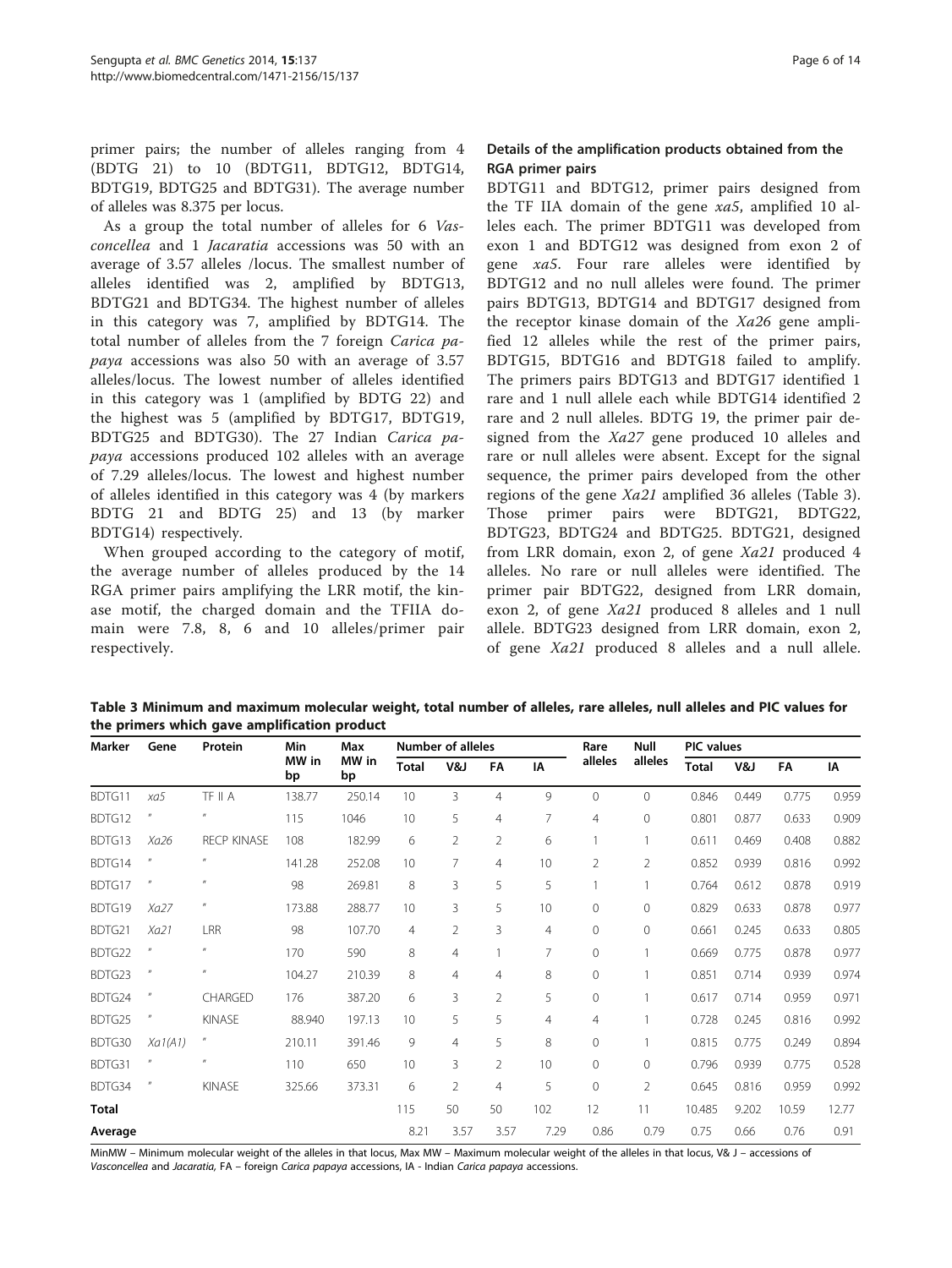<span id="page-5-0"></span>primer pairs; the number of alleles ranging from 4 (BDTG 21) to 10 (BDTG11, BDTG12, BDTG14, BDTG19, BDTG25 and BDTG31). The average number of alleles was 8.375 per locus.

As a group the total number of alleles for 6 Vasconcellea and 1 Jacaratia accessions was 50 with an average of 3.57 alleles /locus. The smallest number of alleles identified was 2, amplified by BDTG13, BDTG21 and BDTG34. The highest number of alleles in this category was 7, amplified by BDTG14. The total number of alleles from the 7 foreign Carica papaya accessions was also 50 with an average of 3.57 alleles/locus. The lowest number of alleles identified in this category was 1 (amplified by BDTG 22) and the highest was 5 (amplified by BDTG17, BDTG19, BDTG25 and BDTG30). The 27 Indian Carica papaya accessions produced 102 alleles with an average of 7.29 alleles/locus. The lowest and highest number of alleles identified in this category was 4 (by markers BDTG 21 and BDTG 25) and 13 (by marker BDTG14) respectively.

When grouped according to the category of motif, the average number of alleles produced by the 14 RGA primer pairs amplifying the LRR motif, the kinase motif, the charged domain and the TFIIA domain were 7.8, 8, 6 and 10 alleles/primer pair respectively.

## Details of the amplification products obtained from the RGA primer pairs

BDTG11 and BDTG12, primer pairs designed from the TF IIA domain of the gene  $xa5$ , amplified 10 alleles each. The primer BDTG11 was developed from exon 1 and BDTG12 was designed from exon 2 of gene xa5. Four rare alleles were identified by BDTG12 and no null alleles were found. The primer pairs BDTG13, BDTG14 and BDTG17 designed from the receptor kinase domain of the  $Xa26$  gene amplified 12 alleles while the rest of the primer pairs, BDTG15, BDTG16 and BDTG18 failed to amplify. The primers pairs BDTG13 and BDTG17 identified 1 rare and 1 null allele each while BDTG14 identified 2 rare and 2 null alleles. BDTG 19, the primer pair designed from the Xa27 gene produced 10 alleles and rare or null alleles were absent. Except for the signal sequence, the primer pairs developed from the other regions of the gene Xa21 amplified 36 alleles (Table 3). Those primer pairs were BDTG21, BDTG22, BDTG23, BDTG24 and BDTG25. BDTG21, designed from LRR domain, exon 2, of gene Xa21 produced 4 alleles. No rare or null alleles were identified. The primer pair BDTG22, designed from LRR domain, exon 2, of gene Xa21 produced 8 alleles and 1 null allele. BDTG23 designed from LRR domain, exon 2, of gene Xa21 produced 8 alleles and a null allele.

Table 3 Minimum and maximum molecular weight, total number of alleles, rare alleles, null alleles and PIC values for the primers which gave amplification product

| Marker       | Gene                       | Protein                    | Min         | Max         | <b>Number of alleles</b> |                |                |                | Rare           | Null           | <b>PIC</b> values |       |       |       |
|--------------|----------------------------|----------------------------|-------------|-------------|--------------------------|----------------|----------------|----------------|----------------|----------------|-------------------|-------|-------|-------|
|              |                            |                            | MW in<br>bp | MW in<br>bp | <b>Total</b>             | V&J            | FA             | IA             | alleles        | alleles        | <b>Total</b>      | V&J   | FA    | IA    |
| BDTG11       | xa5                        | TF II A                    | 138.77      | 250.14      | 10                       | 3              | $\overline{4}$ | 9              | $\mathbf{0}$   | $\Omega$       | 0.846             | 0.449 | 0.775 | 0.959 |
| BDTG12       |                            | $^{\prime\prime}$          | 115         | 1046        | 10                       | 5              | $\overline{4}$ | 7              | $\overline{4}$ | 0              | 0.801             | 0.877 | 0.633 | 0.909 |
| BDTG13       | Xa26                       | <b>RECP KINASE</b>         | 108         | 182.99      | 6                        | $\overline{2}$ | 2              | 6              |                | 1              | 0.611             | 0.469 | 0.408 | 0.882 |
| BDTG14       |                            | $^{\prime\prime}$          | 141.28      | 252.08      | 10                       | $\overline{7}$ | $\overline{4}$ | 10             | $\overline{2}$ | $\overline{2}$ | 0.852             | 0.939 | 0.816 | 0.992 |
| BDTG17       |                            | $\overline{u}$             | 98          | 269.81      | 8                        | 3              | 5              | 5              |                |                | 0.764             | 0.612 | 0.878 | 0.919 |
| BDTG19       | Xa27                       | $^{\prime\prime}$          | 173.88      | 288.77      | 10                       | 3              | 5              | 10             | $\Omega$       | 0              | 0.829             | 0.633 | 0.878 | 0.977 |
| BDTG21       | Xa21                       | LRR                        | 98          | 107.70      | $\overline{4}$           | $\overline{2}$ | 3              | $\overline{4}$ | 0              | 0              | 0.661             | 0.245 | 0.633 | 0.805 |
| BDTG22       |                            | $\boldsymbol{\mathit{II}}$ | 170         | 590         | 8                        | 4              |                | $\overline{7}$ | 0              |                | 0.669             | 0.775 | 0.878 | 0.977 |
| BDTG23       | $^{\prime\prime}$          | $^{\prime\prime}$          | 104.27      | 210.39      | 8                        | 4              | $\overline{4}$ | 8              | 0              |                | 0.851             | 0.714 | 0.939 | 0.974 |
| BDTG24       |                            | CHARGED                    | 176         | 387.20      | 6                        | 3              | $\overline{2}$ | 5              | 0              |                | 0.617             | 0.714 | 0.959 | 0.971 |
| BDTG25       |                            | KINASE                     | 88.940      | 197.13      | 10                       | 5              | 5              | 4              | $\overline{4}$ |                | 0.728             | 0.245 | 0.816 | 0.992 |
| BDTG30       | Xa1(A1)                    | $\boldsymbol{\mathit{II}}$ | 210.11      | 391.46      | 9                        | $\overline{4}$ | 5              | 8              | $\Omega$       |                | 0.815             | 0.775 | 0.249 | 0.894 |
| BDTG31       | $\boldsymbol{\mathit{II}}$ | $^{\prime\prime}$          | 110         | 650         | 10                       | 3              | $\overline{2}$ | 10             | $\Omega$       | 0              | 0.796             | 0.939 | 0.775 | 0.528 |
| BDTG34       |                            | KINASE                     | 325.66      | 373.31      | 6                        | $\overline{2}$ | $\overline{4}$ | 5              | 0              | $\overline{2}$ | 0.645             | 0.816 | 0.959 | 0.992 |
| <b>Total</b> |                            |                            |             |             | 115                      | 50             | 50             | 102            | 12             | 11             | 10.485            | 9.202 | 10.59 | 12.77 |
| Average      |                            |                            |             |             | 8.21                     | 3.57           | 3.57           | 7.29           | 0.86           | 0.79           | 0.75              | 0.66  | 0.76  | 0.91  |

MinMW – Minimum molecular weight of the alleles in that locus, Max MW – Maximum molecular weight of the alleles in that locus, V& J – accessions of Vasconcellea and Jacaratia, FA – foreign Carica papaya accessions, IA - Indian Carica papaya accessions.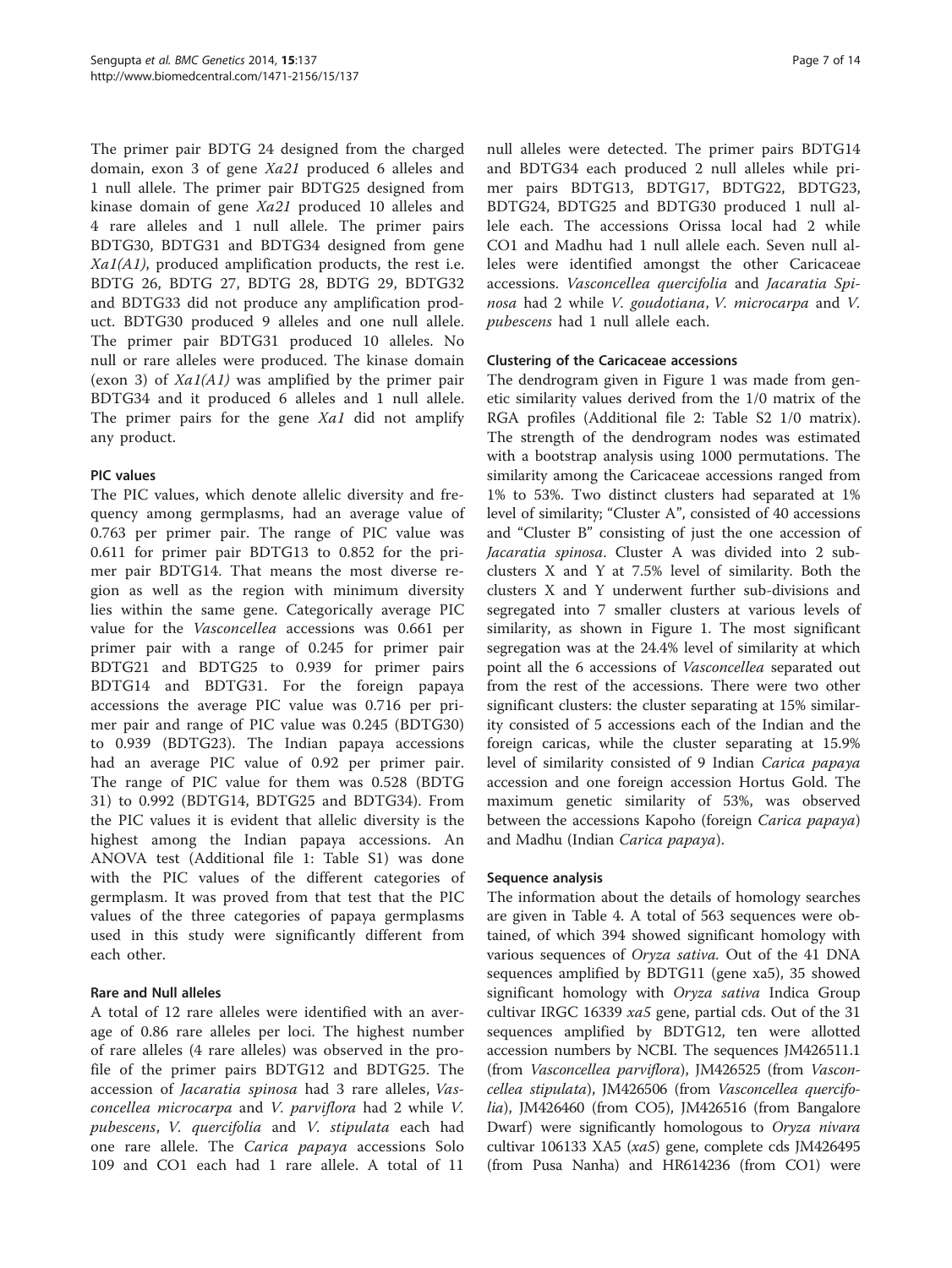The primer pair BDTG 24 designed from the charged domain, exon 3 of gene Xa21 produced 6 alleles and 1 null allele. The primer pair BDTG25 designed from kinase domain of gene Xa21 produced 10 alleles and 4 rare alleles and 1 null allele. The primer pairs BDTG30, BDTG31 and BDTG34 designed from gene  $Xa1(A1)$ , produced amplification products, the rest i.e. BDTG 26, BDTG 27, BDTG 28, BDTG 29, BDTG32 and BDTG33 did not produce any amplification product. BDTG30 produced 9 alleles and one null allele. The primer pair BDTG31 produced 10 alleles. No null or rare alleles were produced. The kinase domain (exon 3) of  $Xa1(A1)$  was amplified by the primer pair BDTG34 and it produced 6 alleles and 1 null allele. The primer pairs for the gene Xa1 did not amplify any product.

## PIC values

The PIC values, which denote allelic diversity and frequency among germplasms, had an average value of 0.763 per primer pair. The range of PIC value was 0.611 for primer pair BDTG13 to 0.852 for the primer pair BDTG14. That means the most diverse region as well as the region with minimum diversity lies within the same gene. Categorically average PIC value for the Vasconcellea accessions was 0.661 per primer pair with a range of 0.245 for primer pair BDTG21 and BDTG25 to 0.939 for primer pairs BDTG14 and BDTG31. For the foreign papaya accessions the average PIC value was 0.716 per primer pair and range of PIC value was 0.245 (BDTG30) to 0.939 (BDTG23). The Indian papaya accessions had an average PIC value of 0.92 per primer pair. The range of PIC value for them was 0.528 (BDTG 31) to 0.992 (BDTG14, BDTG25 and BDTG34). From the PIC values it is evident that allelic diversity is the highest among the Indian papaya accessions. An ANOVA test (Additional file [1](#page-11-0): Table S1) was done with the PIC values of the different categories of germplasm. It was proved from that test that the PIC values of the three categories of papaya germplasms used in this study were significantly different from each other.

## Rare and Null alleles

A total of 12 rare alleles were identified with an average of 0.86 rare alleles per loci. The highest number of rare alleles (4 rare alleles) was observed in the profile of the primer pairs BDTG12 and BDTG25. The accession of Jacaratia spinosa had 3 rare alleles, Vasconcellea microcarpa and V. parviflora had 2 while V. pubescens, V. quercifolia and V. stipulata each had one rare allele. The Carica papaya accessions Solo 109 and CO1 each had 1 rare allele. A total of 11

null alleles were detected. The primer pairs BDTG14 and BDTG34 each produced 2 null alleles while primer pairs BDTG13, BDTG17, BDTG22, BDTG23, BDTG24, BDTG25 and BDTG30 produced 1 null allele each. The accessions Orissa local had 2 while CO1 and Madhu had 1 null allele each. Seven null alleles were identified amongst the other Caricaceae accessions. Vasconcellea quercifolia and Jacaratia Spinosa had 2 while V. goudotiana, V. microcarpa and V. pubescens had 1 null allele each.

## Clustering of the Caricaceae accessions

The dendrogram given in Figure [1](#page-7-0) was made from genetic similarity values derived from the 1/0 matrix of the RGA profiles (Additional file [2:](#page-11-0) Table S2 1/0 matrix). The strength of the dendrogram nodes was estimated with a bootstrap analysis using 1000 permutations. The similarity among the Caricaceae accessions ranged from 1% to 53%. Two distinct clusters had separated at 1% level of similarity; "Cluster A", consisted of 40 accessions and "Cluster B" consisting of just the one accession of Jacaratia spinosa. Cluster A was divided into 2 subclusters X and Y at 7.5% level of similarity. Both the clusters X and Y underwent further sub-divisions and segregated into 7 smaller clusters at various levels of similarity, as shown in Figure [1](#page-7-0). The most significant segregation was at the 24.4% level of similarity at which point all the 6 accessions of Vasconcellea separated out from the rest of the accessions. There were two other significant clusters: the cluster separating at 15% similarity consisted of 5 accessions each of the Indian and the foreign caricas, while the cluster separating at 15.9% level of similarity consisted of 9 Indian Carica papaya accession and one foreign accession Hortus Gold. The maximum genetic similarity of 53%, was observed between the accessions Kapoho (foreign Carica papaya) and Madhu (Indian Carica papaya).

## Sequence analysis

The information about the details of homology searches are given in Table [4](#page-8-0). A total of 563 sequences were obtained, of which 394 showed significant homology with various sequences of Oryza sativa. Out of the 41 DNA sequences amplified by BDTG11 (gene xa5), 35 showed significant homology with Oryza sativa Indica Group cultivar IRGC 16339 xa5 gene, partial cds. Out of the 31 sequences amplified by BDTG12, ten were allotted accession numbers by NCBI. The sequences JM426511.1 (from Vasconcellea parviflora), JM426525 (from Vasconcellea stipulata), JM426506 (from Vasconcellea quercifolia), JM426460 (from CO5), JM426516 (from Bangalore Dwarf) were significantly homologous to Oryza nivara cultivar 106133 XA5 (xa5) gene, complete cds JM426495 (from Pusa Nanha) and HR614236 (from CO1) were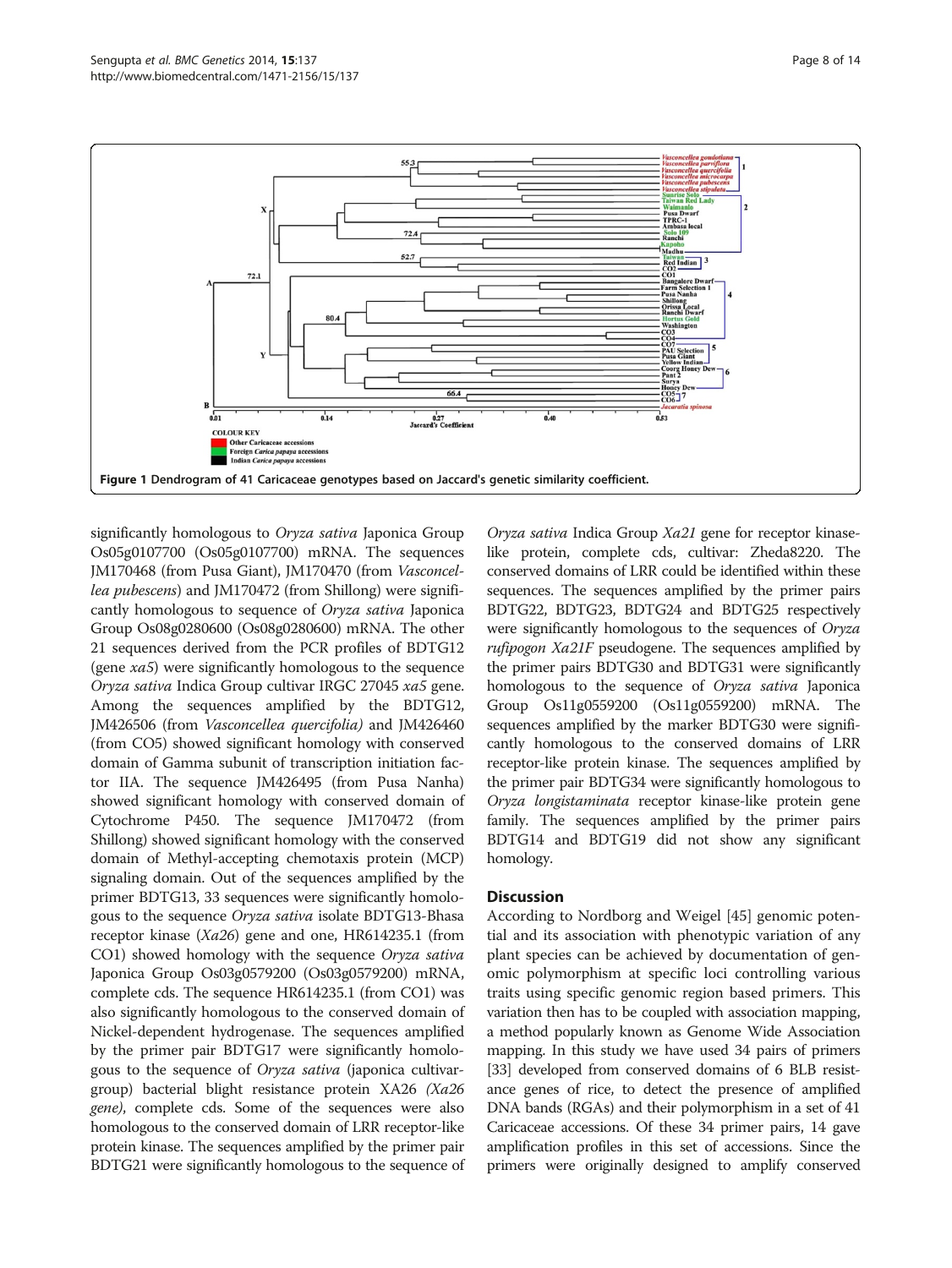<span id="page-7-0"></span>

significantly homologous to Oryza sativa Japonica Group Os05g0107700 (Os05g0107700) mRNA. The sequences JM170468 (from Pusa Giant), JM170470 (from Vasconcellea pubescens) and JM170472 (from Shillong) were significantly homologous to sequence of Oryza sativa Japonica Group Os08g0280600 (Os08g0280600) mRNA. The other 21 sequences derived from the PCR profiles of BDTG12 (gene xa5) were significantly homologous to the sequence Oryza sativa Indica Group cultivar IRGC 27045 xa5 gene. Among the sequences amplified by the BDTG12, JM426506 (from Vasconcellea quercifolia) and JM426460 (from CO5) showed significant homology with conserved domain of Gamma subunit of transcription initiation factor IIA. The sequence JM426495 (from Pusa Nanha) showed significant homology with conserved domain of Cytochrome P450. The sequence JM170472 (from Shillong) showed significant homology with the conserved domain of Methyl-accepting chemotaxis protein (MCP) signaling domain. Out of the sequences amplified by the primer BDTG13, 33 sequences were significantly homologous to the sequence Oryza sativa isolate BDTG13-Bhasa receptor kinase (Xa26) gene and one, HR614235.1 (from CO1) showed homology with the sequence Oryza sativa Japonica Group Os03g0579200 (Os03g0579200) mRNA, complete cds. The sequence HR614235.1 (from CO1) was also significantly homologous to the conserved domain of Nickel-dependent hydrogenase. The sequences amplified by the primer pair BDTG17 were significantly homologous to the sequence of Oryza sativa (japonica cultivargroup) bacterial blight resistance protein XA26 (Xa26 gene), complete cds. Some of the sequences were also homologous to the conserved domain of LRR receptor-like protein kinase. The sequences amplified by the primer pair BDTG21 were significantly homologous to the sequence of

Oryza sativa Indica Group Xa21 gene for receptor kinaselike protein, complete cds, cultivar: Zheda8220. The conserved domains of LRR could be identified within these sequences. The sequences amplified by the primer pairs BDTG22, BDTG23, BDTG24 and BDTG25 respectively were significantly homologous to the sequences of Oryza rufipogon Xa21F pseudogene. The sequences amplified by the primer pairs BDTG30 and BDTG31 were significantly homologous to the sequence of Oryza sativa Japonica Group Os11g0559200 (Os11g0559200) mRNA. The sequences amplified by the marker BDTG30 were significantly homologous to the conserved domains of LRR receptor-like protein kinase. The sequences amplified by the primer pair BDTG34 were significantly homologous to Oryza longistaminata receptor kinase-like protein gene family. The sequences amplified by the primer pairs BDTG14 and BDTG19 did not show any significant homology.

## **Discussion**

According to Nordborg and Weigel [[45\]](#page-13-0) genomic potential and its association with phenotypic variation of any plant species can be achieved by documentation of genomic polymorphism at specific loci controlling various traits using specific genomic region based primers. This variation then has to be coupled with association mapping, a method popularly known as Genome Wide Association mapping. In this study we have used 34 pairs of primers [[33](#page-12-0)] developed from conserved domains of 6 BLB resistance genes of rice, to detect the presence of amplified DNA bands (RGAs) and their polymorphism in a set of 41 Caricaceae accessions. Of these 34 primer pairs, 14 gave amplification profiles in this set of accessions. Since the primers were originally designed to amplify conserved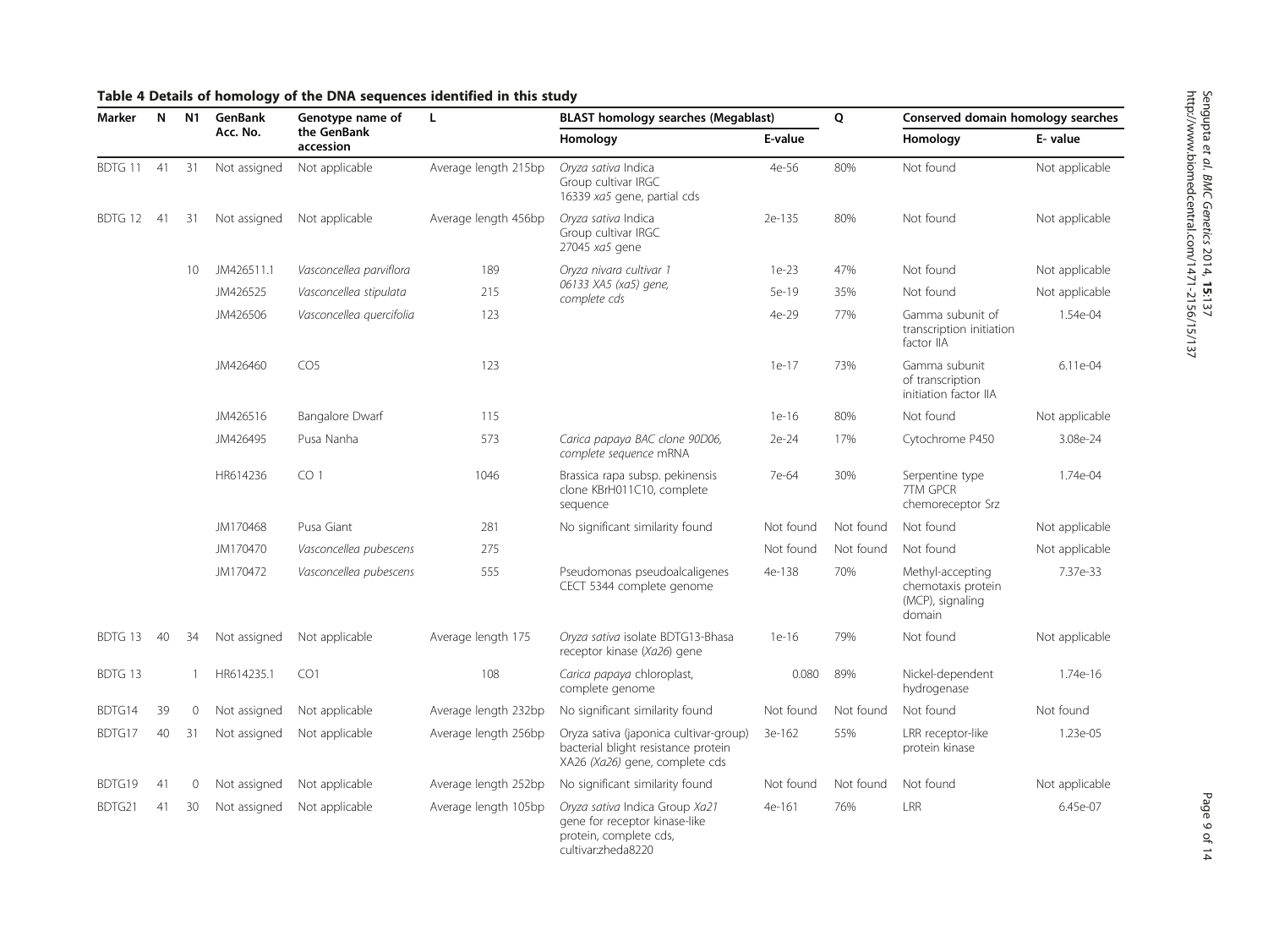| Marker  | N<br>N1 |             | GenBank      | Genotype name of         | L                    | <b>BLAST homology searches (Megablast)</b>                                                                        |           | Q         | Conserved domain homology searches                                   |                |
|---------|---------|-------------|--------------|--------------------------|----------------------|-------------------------------------------------------------------------------------------------------------------|-----------|-----------|----------------------------------------------------------------------|----------------|
|         |         |             | Acc. No.     | the GenBank<br>accession |                      | Homology                                                                                                          | E-value   |           | Homology                                                             | E-value        |
| BDTG 11 | 41      | 31          | Not assigned | Not applicable           | Average length 215bp | Oryza sativa Indica<br>Group cultivar IRGC<br>16339 xa5 gene, partial cds                                         | 4e-56     | 80%       | Not found                                                            | Not applicable |
| BDTG 12 | 41      | 31          | Not assigned | Not applicable           | Average length 456bp | Oryza sativa Indica<br>Group cultivar IRGC<br>27045 xa5 gene                                                      | 2e-135    | 80%       | Not found                                                            | Not applicable |
|         |         | 10          | JM426511.1   | Vasconcellea parviflora  | 189                  | Oryza nivara cultivar 1                                                                                           | $1e-23$   | 47%       | Not found                                                            | Not applicable |
|         |         |             | JM426525     | Vasconcellea stipulata   | 215                  | 06133 XA5 (xa5) gene,<br>complete cds                                                                             | 5e-19     | 35%       | Not found                                                            | Not applicable |
|         |         |             | JM426506     | Vasconcellea quercifolia | 123                  |                                                                                                                   | 4e-29     | 77%       | Gamma subunit of<br>transcription initiation<br>factor IIA           | 1.54e-04       |
|         |         |             | JM426460     | CO <sub>5</sub>          | 123                  |                                                                                                                   | $1e-17$   | 73%       | Gamma subunit<br>of transcription<br>initiation factor IIA           | 6.11e-04       |
|         |         |             | JM426516     | <b>Bangalore Dwarf</b>   | 115                  |                                                                                                                   | $1e-16$   | 80%       | Not found                                                            | Not applicable |
|         |         |             | JM426495     | Pusa Nanha               | 573                  | Carica papaya BAC clone 90D06,<br>complete sequence mRNA                                                          | 2e-24     | 17%       | Cytochrome P450                                                      | 3.08e-24       |
|         |         |             | HR614236     | CO <sub>1</sub>          | 1046                 | Brassica rapa subsp. pekinensis<br>clone KBrH011C10, complete<br>sequence                                         | 7e-64     | 30%       | Serpentine type<br>7TM GPCR<br>chemoreceptor Srz                     | 1.74e-04       |
|         |         |             | JM170468     | Pusa Giant               | 281                  | No significant similarity found                                                                                   | Not found | Not found | Not found                                                            | Not applicable |
|         |         |             | JM170470     | Vasconcellea pubescens   | 275                  |                                                                                                                   | Not found | Not found | Not found                                                            | Not applicable |
|         |         |             | JM170472     | Vasconcellea pubescens   | 555                  | Pseudomonas pseudoalcaligenes<br>CECT 5344 complete genome                                                        | 4e-138    | 70%       | Methyl-accepting<br>chemotaxis protein<br>(MCP), signaling<br>domain | 7.37e-33       |
| BDTG 13 | 40      | 34          | Not assigned | Not applicable           | Average length 175   | Oryza sativa isolate BDTG13-Bhasa<br>receptor kinase (Xa26) gene                                                  | $1e-16$   | 79%       | Not found                                                            | Not applicable |
| BDTG 13 |         | 1           | HR614235.1   | CO1                      | 108                  | Carica papaya chloroplast,<br>complete genome                                                                     | 0.080     | 89%       | Nickel-dependent<br>hydrogenase                                      | 1.74e-16       |
| BDTG14  | 39      | 0           | Not assigned | Not applicable           | Average length 232bp | No significant similarity found                                                                                   | Not found | Not found | Not found                                                            | Not found      |
| BDTG17  | 40      | 31          | Not assigned | Not applicable           | Average length 256bp | Oryza sativa (japonica cultivar-group)<br>bacterial blight resistance protein<br>XA26 (Xa26) gene, complete cds   | 3e-162    | 55%       | LRR receptor-like<br>protein kinase                                  | 1.23e-05       |
| BDTG19  | 41      | $\mathbf 0$ | Not assigned | Not applicable           | Average length 252bp | No significant similarity found                                                                                   | Not found | Not found | Not found                                                            | Not applicable |
| BDTG21  | 41      | 30          | Not assigned | Not applicable           | Average length 105bp | Oryza sativa Indica Group Xa21<br>gene for receptor kinase-like<br>protein, complete cds,<br>cultivar: zheda 8220 | 4e-161    | 76%       | LRR                                                                  | 6.45e-07       |

## <span id="page-8-0"></span>Table 4 Details of homology of the DNA sequences identified in this study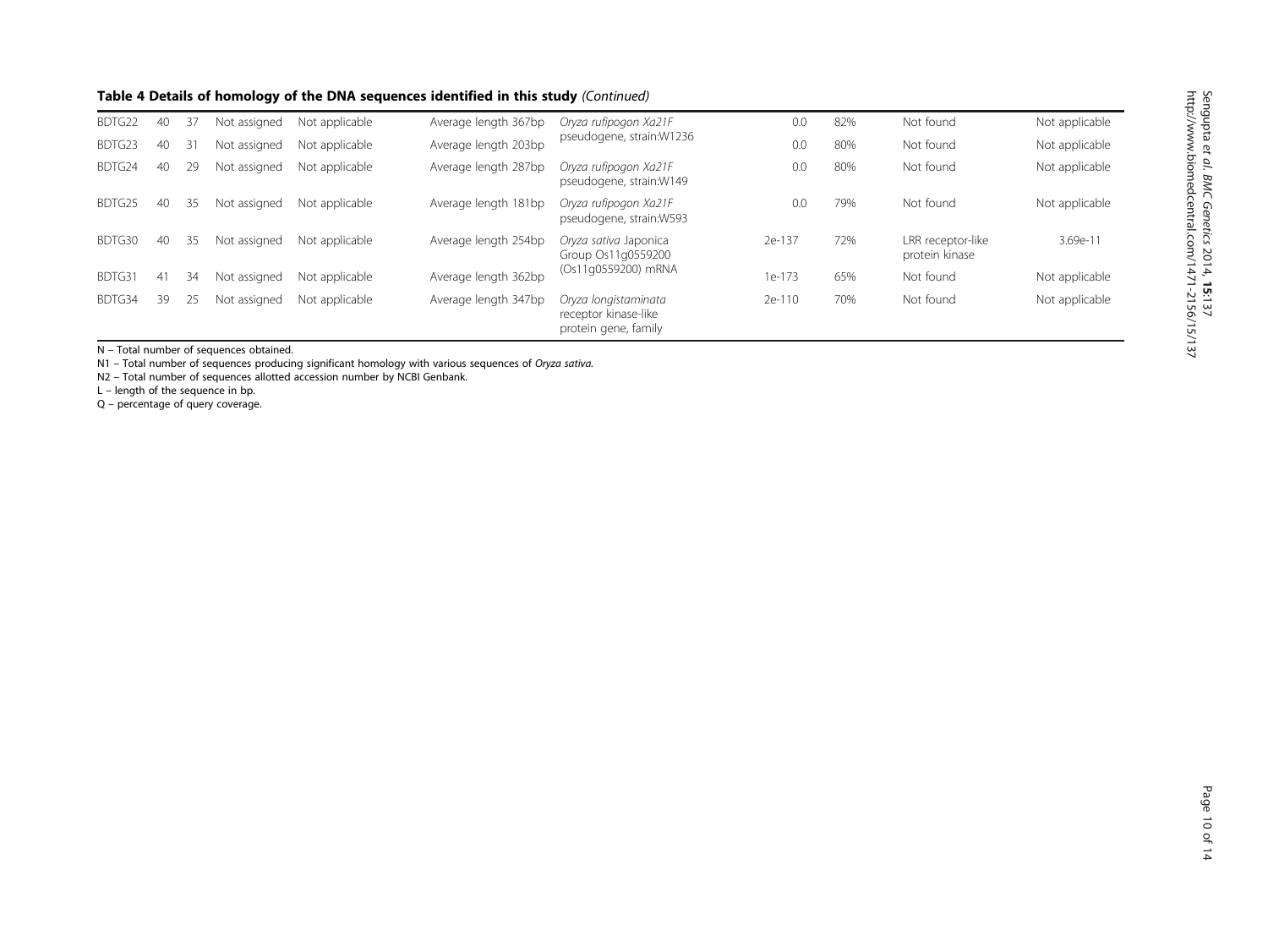#### Table 4 Details of homology of the DNA sequences identified in this study (Continued)

| BDTG22 | 40 | 37 | Not assigned | Not applicable | Average length 367bp | Oryza rufipogon Xa21F                                                | 0.0    | 82% | Not found                           | Not applicable |
|--------|----|----|--------------|----------------|----------------------|----------------------------------------------------------------------|--------|-----|-------------------------------------|----------------|
| BDTG23 | 40 | 31 | Not assigned | Not applicable | Average length 203bp | pseudogene, strain: W1236                                            | 0.0    | 80% | Not found                           | Not applicable |
| BDTG24 | 40 | 29 | Not assigned | Not applicable | Average length 287bp | Oryza rufipogon Xa21F<br>pseudogene, strain:W149                     | 0.0    | 80% | Not found                           | Not applicable |
| BDTG25 | 40 | 35 | Not assigned | Not applicable | Average length 181bp | Oryza rufipogon Xa21F<br>pseudogene, strain:W593                     | 0.0    | 79% | Not found                           | Not applicable |
| BDTG30 | 40 | 35 | Not assigned | Not applicable | Average length 254bp | Oryza sativa Japonica<br>Group Os11g0559200                          | 2e-137 | 72% | LRR receptor-like<br>protein kinase | $3.69e-1$      |
| BDTG31 | 41 | 34 | Not assigned | Not applicable | Average length 362bp | (Os11q0559200) mRNA                                                  | 1e-173 | 65% | Not found                           | Not applicable |
| BDTG34 | 39 |    | Not assigned | Not applicable | Average length 347bp | Oryza longistaminata<br>receptor kinase-like<br>protein gene, family | 2e-110 | 70% | Not found                           | Not applicable |

N – Total number of sequences obtained.

N1 – Total number of sequences producing significant homology with various sequences of Oryza sativa.

N2 – Total number of sequences allotted accession number by NCBI Genbank.

L – length of the sequence in bp.

Q – percentage of query coverage.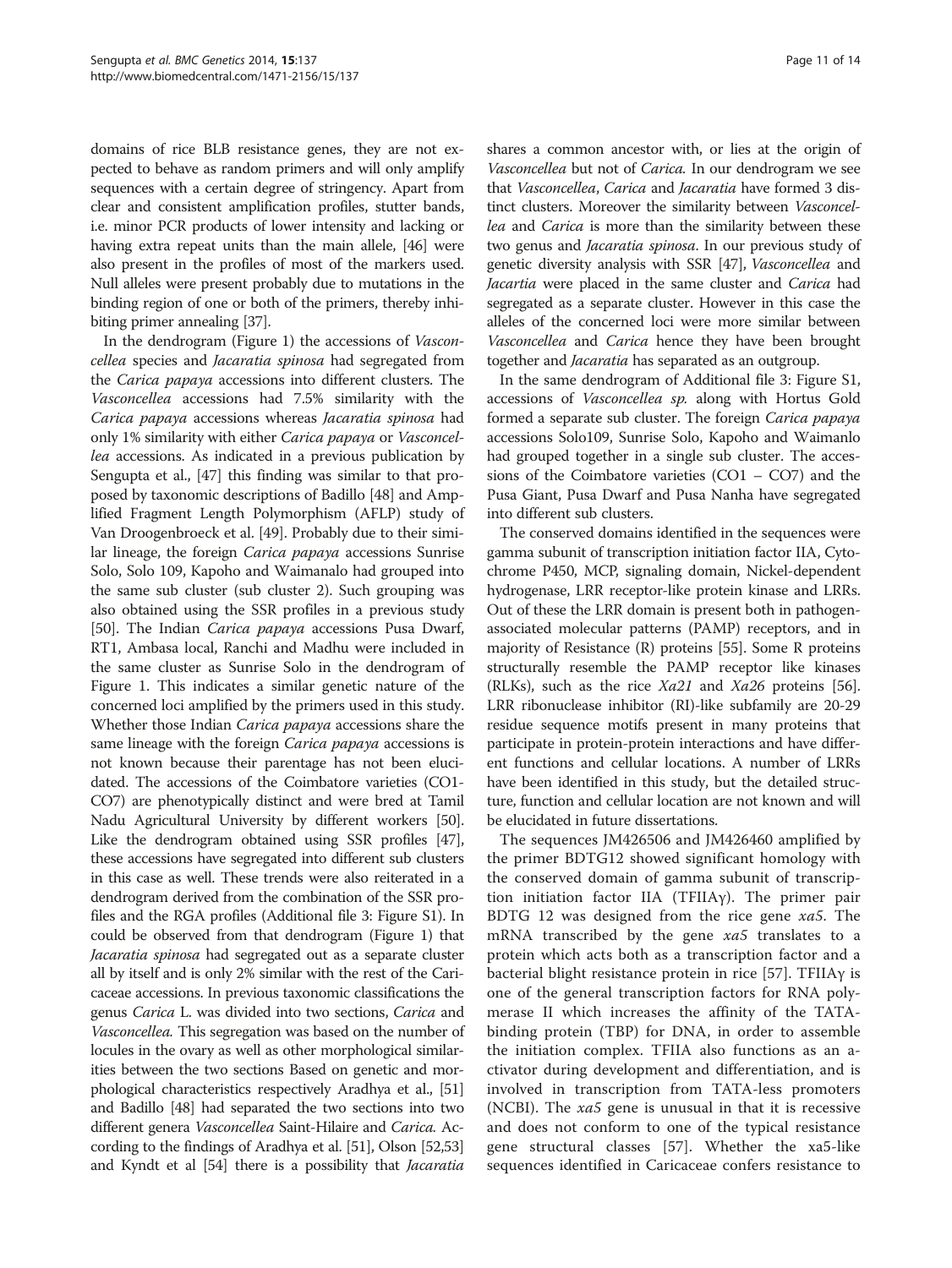domains of rice BLB resistance genes, they are not expected to behave as random primers and will only amplify sequences with a certain degree of stringency. Apart from clear and consistent amplification profiles, stutter bands, i.e. minor PCR products of lower intensity and lacking or having extra repeat units than the main allele, [\[46](#page-13-0)] were also present in the profiles of most of the markers used. Null alleles were present probably due to mutations in the binding region of one or both of the primers, thereby inhibiting primer annealing [\[37\]](#page-12-0).

In the dendrogram (Figure [1](#page-7-0)) the accessions of Vasconcellea species and Jacaratia spinosa had segregated from the Carica papaya accessions into different clusters. The Vasconcellea accessions had 7.5% similarity with the Carica papaya accessions whereas Jacaratia spinosa had only 1% similarity with either Carica papaya or Vasconcellea accessions. As indicated in a previous publication by Sengupta et al., [\[47\]](#page-13-0) this finding was similar to that proposed by taxonomic descriptions of Badillo [\[48\]](#page-13-0) and Amplified Fragment Length Polymorphism (AFLP) study of Van Droogenbroeck et al. [\[49\]](#page-13-0). Probably due to their similar lineage, the foreign Carica papaya accessions Sunrise Solo, Solo 109, Kapoho and Waimanalo had grouped into the same sub cluster (sub cluster 2). Such grouping was also obtained using the SSR profiles in a previous study [[50](#page-13-0)]. The Indian Carica papaya accessions Pusa Dwarf, RT1, Ambasa local, Ranchi and Madhu were included in the same cluster as Sunrise Solo in the dendrogram of Figure [1.](#page-7-0) This indicates a similar genetic nature of the concerned loci amplified by the primers used in this study. Whether those Indian Carica papaya accessions share the same lineage with the foreign Carica papaya accessions is not known because their parentage has not been elucidated. The accessions of the Coimbatore varieties (CO1- CO7) are phenotypically distinct and were bred at Tamil Nadu Agricultural University by different workers [[50](#page-13-0)]. Like the dendrogram obtained using SSR profiles [\[47](#page-13-0)], these accessions have segregated into different sub clusters in this case as well. These trends were also reiterated in a dendrogram derived from the combination of the SSR profiles and the RGA profiles (Additional file [3](#page-11-0): Figure S1). In could be observed from that dendrogram (Figure [1\)](#page-7-0) that Jacaratia spinosa had segregated out as a separate cluster all by itself and is only 2% similar with the rest of the Caricaceae accessions. In previous taxonomic classifications the genus Carica L. was divided into two sections, Carica and Vasconcellea. This segregation was based on the number of locules in the ovary as well as other morphological similarities between the two sections Based on genetic and morphological characteristics respectively Aradhya et al., [\[51](#page-13-0)] and Badillo [\[48](#page-13-0)] had separated the two sections into two different genera Vasconcellea Saint-Hilaire and Carica. According to the findings of Aradhya et al. [[51](#page-13-0)], Olson [\[52,53](#page-13-0)] and Kyndt et al [\[54\]](#page-13-0) there is a possibility that Jacaratia

shares a common ancestor with, or lies at the origin of Vasconcellea but not of Carica. In our dendrogram we see that Vasconcellea, Carica and Jacaratia have formed 3 distinct clusters. Moreover the similarity between Vasconcellea and Carica is more than the similarity between these two genus and Jacaratia spinosa. In our previous study of genetic diversity analysis with SSR [\[47](#page-13-0)], Vasconcellea and Jacartia were placed in the same cluster and Carica had segregated as a separate cluster. However in this case the alleles of the concerned loci were more similar between Vasconcellea and Carica hence they have been brought together and *Jacaratia* has separated as an outgroup.

In the same dendrogram of Additional file [3](#page-11-0): Figure S1, accessions of Vasconcellea sp. along with Hortus Gold formed a separate sub cluster. The foreign Carica papaya accessions Solo109, Sunrise Solo, Kapoho and Waimanlo had grouped together in a single sub cluster. The accessions of the Coimbatore varieties (CO1 – CO7) and the Pusa Giant, Pusa Dwarf and Pusa Nanha have segregated into different sub clusters.

The conserved domains identified in the sequences were gamma subunit of transcription initiation factor IIA, Cytochrome P450, MCP, signaling domain, Nickel-dependent hydrogenase, LRR receptor-like protein kinase and LRRs. Out of these the LRR domain is present both in pathogenassociated molecular patterns (PAMP) receptors, and in majority of Resistance (R) proteins [\[55\]](#page-13-0). Some R proteins structurally resemble the PAMP receptor like kinases (RLKs), such as the rice  $Xa21$  and  $Xa26$  proteins [[56](#page-13-0)]. LRR ribonuclease inhibitor (RI)-like subfamily are 20-29 residue sequence motifs present in many proteins that participate in protein-protein interactions and have different functions and cellular locations. A number of LRRs have been identified in this study, but the detailed structure, function and cellular location are not known and will be elucidated in future dissertations.

The sequences JM426506 and JM426460 amplified by the primer BDTG12 showed significant homology with the conserved domain of gamma subunit of transcription initiation factor IIA (TFIIAγ). The primer pair BDTG 12 was designed from the rice gene xa5. The mRNA transcribed by the gene xa5 translates to a protein which acts both as a transcription factor and a bacterial blight resistance protein in rice [\[57](#page-13-0)]. TFIIAγ is one of the general transcription factors for RNA polymerase II which increases the affinity of the TATAbinding protein (TBP) for DNA, in order to assemble the initiation complex. TFIIA also functions as an activator during development and differentiation, and is involved in transcription from TATA-less promoters (NCBI). The  $xa5$  gene is unusual in that it is recessive and does not conform to one of the typical resistance gene structural classes [[57\]](#page-13-0). Whether the xa5-like sequences identified in Caricaceae confers resistance to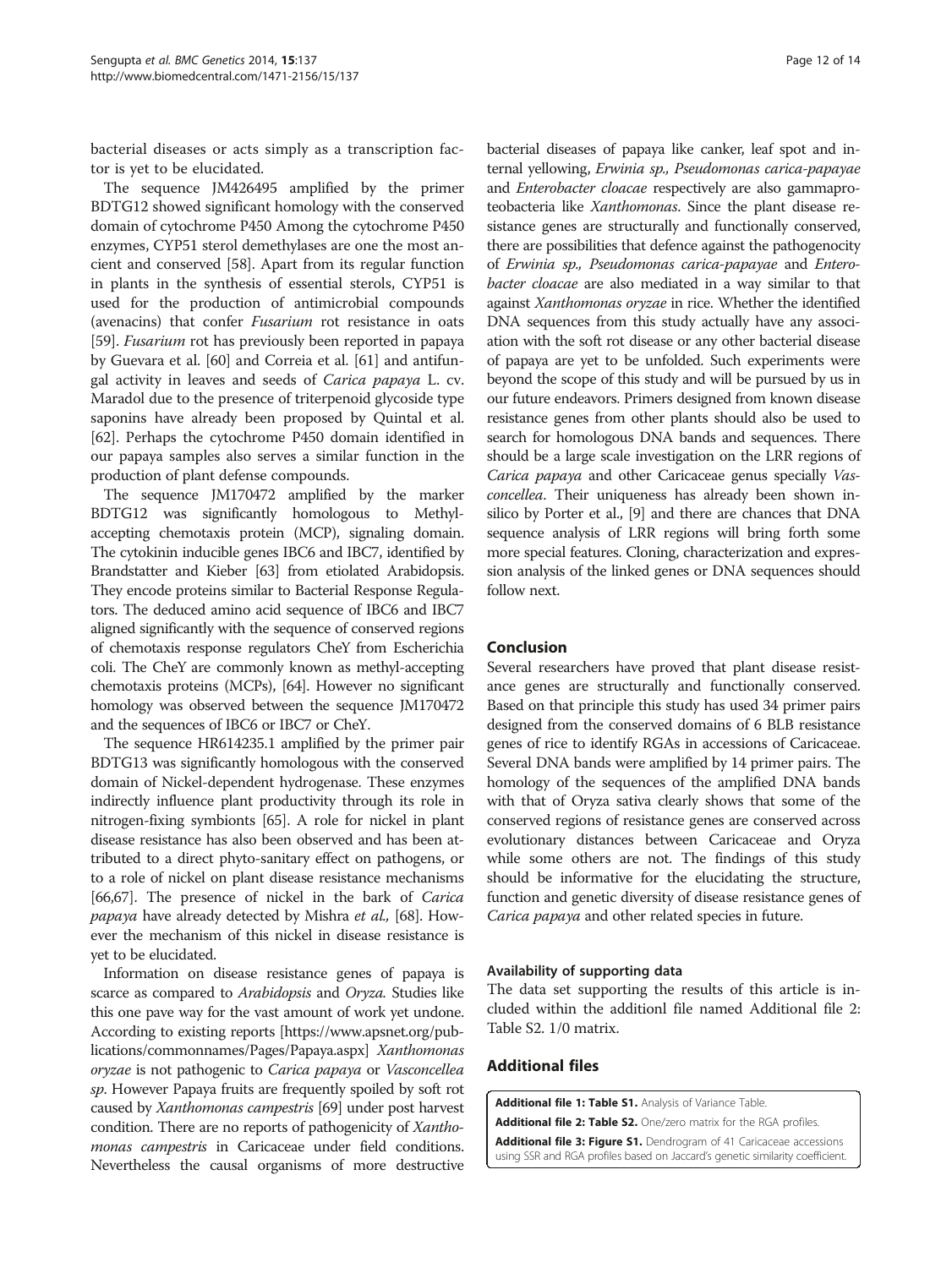<span id="page-11-0"></span>bacterial diseases or acts simply as a transcription factor is yet to be elucidated.

The sequence JM426495 amplified by the primer BDTG12 showed significant homology with the conserved domain of cytochrome P450 Among the cytochrome P450 enzymes, CYP51 sterol demethylases are one the most ancient and conserved [[58](#page-13-0)]. Apart from its regular function in plants in the synthesis of essential sterols, CYP51 is used for the production of antimicrobial compounds (avenacins) that confer Fusarium rot resistance in oats [[59](#page-13-0)]. Fusarium rot has previously been reported in papaya by Guevara et al. [[60](#page-13-0)] and Correia et al. [[61](#page-13-0)] and antifungal activity in leaves and seeds of Carica papaya L. cv. Maradol due to the presence of triterpenoid glycoside type saponins have already been proposed by Quintal et al. [[62](#page-13-0)]. Perhaps the cytochrome P450 domain identified in our papaya samples also serves a similar function in the production of plant defense compounds.

The sequence JM170472 amplified by the marker BDTG12 was significantly homologous to Methylaccepting chemotaxis protein (MCP), signaling domain. The cytokinin inducible genes IBC6 and IBC7, identified by Brandstatter and Kieber [[63\]](#page-13-0) from etiolated Arabidopsis. They encode proteins similar to Bacterial Response Regulators. The deduced amino acid sequence of IBC6 and IBC7 aligned significantly with the sequence of conserved regions of chemotaxis response regulators CheY from Escherichia coli. The CheY are commonly known as methyl-accepting chemotaxis proteins (MCPs), [\[64\]](#page-13-0). However no significant homology was observed between the sequence JM170472 and the sequences of IBC6 or IBC7 or CheY.

The sequence HR614235.1 amplified by the primer pair BDTG13 was significantly homologous with the conserved domain of Nickel-dependent hydrogenase. These enzymes indirectly influence plant productivity through its role in nitrogen-fixing symbionts [\[65](#page-13-0)]. A role for nickel in plant disease resistance has also been observed and has been attributed to a direct phyto-sanitary effect on pathogens, or to a role of nickel on plant disease resistance mechanisms [[66,67\]](#page-13-0). The presence of nickel in the bark of Carica papaya have already detected by Mishra et al., [\[68\]](#page-13-0). However the mechanism of this nickel in disease resistance is yet to be elucidated.

Information on disease resistance genes of papaya is scarce as compared to Arabidopsis and Oryza. Studies like this one pave way for the vast amount of work yet undone. According to existing reports [\[https://www.apsnet.org/pub](https://www.apsnet.org/publications/commonnames/Pages/Papaya.aspx)[lications/commonnames/Pages/Papaya.aspx](https://www.apsnet.org/publications/commonnames/Pages/Papaya.aspx)] Xanthomonas oryzae is not pathogenic to Carica papaya or Vasconcellea sp. However Papaya fruits are frequently spoiled by soft rot caused by Xanthomonas campestris [\[69](#page-13-0)] under post harvest condition. There are no reports of pathogenicity of Xanthomonas campestris in Caricaceae under field conditions. Nevertheless the causal organisms of more destructive

bacterial diseases of papaya like canker, leaf spot and internal yellowing, Erwinia sp., Pseudomonas carica-papayae and Enterobacter cloacae respectively are also gammaproteobacteria like Xanthomonas. Since the plant disease resistance genes are structurally and functionally conserved, there are possibilities that defence against the pathogenocity of Erwinia sp., Pseudomonas carica-papayae and Enterobacter cloacae are also mediated in a way similar to that against Xanthomonas oryzae in rice. Whether the identified DNA sequences from this study actually have any association with the soft rot disease or any other bacterial disease of papaya are yet to be unfolded. Such experiments were beyond the scope of this study and will be pursued by us in our future endeavors. Primers designed from known disease resistance genes from other plants should also be used to search for homologous DNA bands and sequences. There should be a large scale investigation on the LRR regions of Carica papaya and other Caricaceae genus specially Vasconcellea. Their uniqueness has already been shown insilico by Porter et al., [\[9\]](#page-12-0) and there are chances that DNA sequence analysis of LRR regions will bring forth some more special features. Cloning, characterization and expression analysis of the linked genes or DNA sequences should follow next.

#### Conclusion

Several researchers have proved that plant disease resistance genes are structurally and functionally conserved. Based on that principle this study has used 34 primer pairs designed from the conserved domains of 6 BLB resistance genes of rice to identify RGAs in accessions of Caricaceae. Several DNA bands were amplified by 14 primer pairs. The homology of the sequences of the amplified DNA bands with that of Oryza sativa clearly shows that some of the conserved regions of resistance genes are conserved across evolutionary distances between Caricaceae and Oryza while some others are not. The findings of this study should be informative for the elucidating the structure, function and genetic diversity of disease resistance genes of Carica papaya and other related species in future.

#### Availability of supporting data

The data set supporting the results of this article is included within the additionl file named Additional file 2: Table S2. 1/0 matrix.

#### Additional files

[Additional file 1: Table S1.](http://www.biomedcentral.com/content/supplementary/s12863-014-0137-0-s1.doc) Analysis of Variance Table

[Additional file 2: Table S2.](http://www.biomedcentral.com/content/supplementary/s12863-014-0137-0-s2.xls) One/zero matrix for the RGA profiles.

[Additional file 3: Figure S1.](http://www.biomedcentral.com/content/supplementary/s12863-014-0137-0-s3.jpeg) Dendrogram of 41 Caricaceae accessions using SSR and RGA profiles based on Jaccard's genetic similarity coefficient.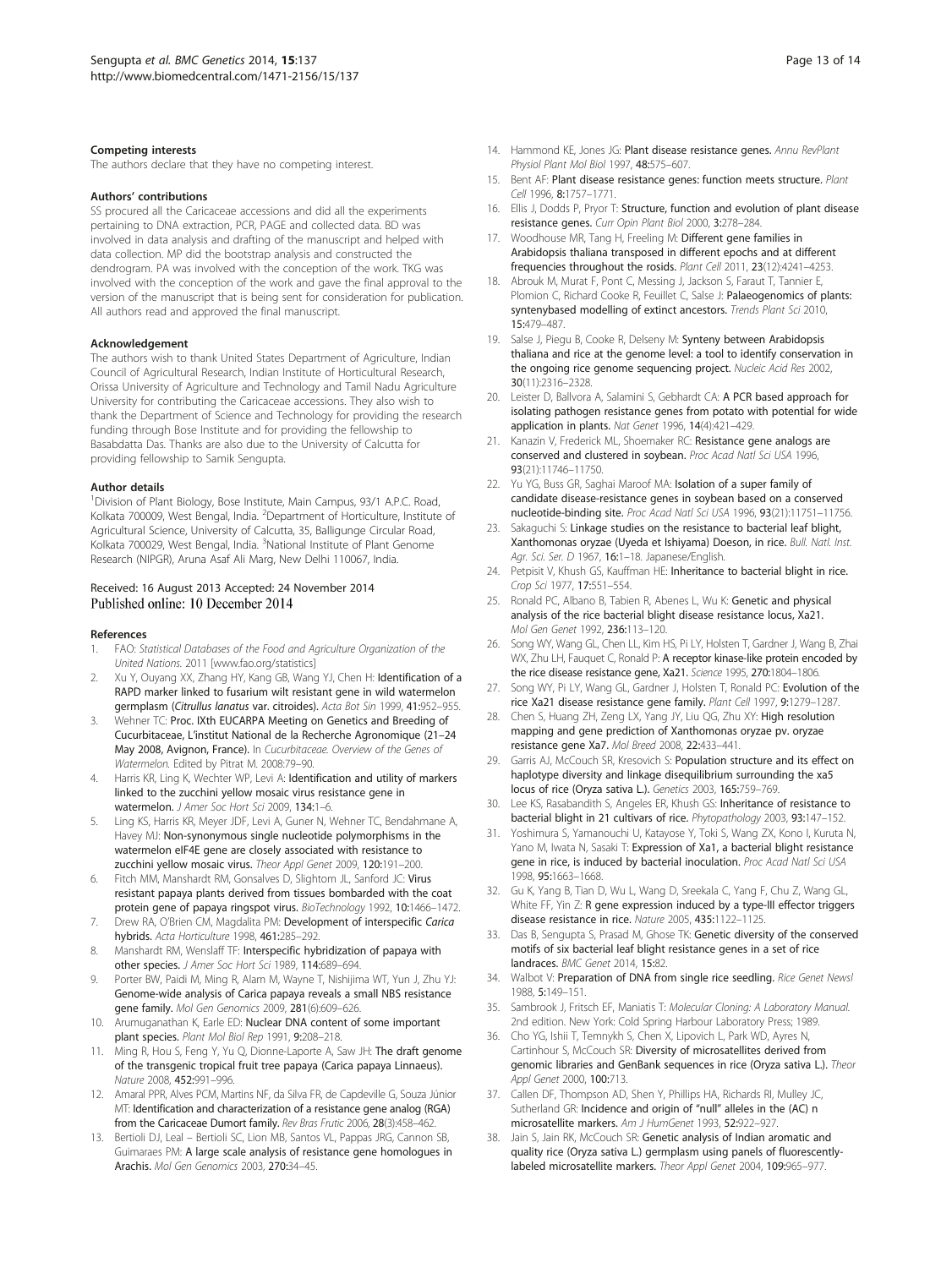#### <span id="page-12-0"></span>Competing interests

The authors declare that they have no competing interest.

#### Authors' contributions

SS procured all the Caricaceae accessions and did all the experiments pertaining to DNA extraction, PCR, PAGE and collected data. BD was involved in data analysis and drafting of the manuscript and helped with data collection. MP did the bootstrap analysis and constructed the dendrogram. PA was involved with the conception of the work. TKG was involved with the conception of the work and gave the final approval to the version of the manuscript that is being sent for consideration for publication. All authors read and approved the final manuscript.

#### Acknowledgement

The authors wish to thank United States Department of Agriculture, Indian Council of Agricultural Research, Indian Institute of Horticultural Research, Orissa University of Agriculture and Technology and Tamil Nadu Agriculture University for contributing the Caricaceae accessions. They also wish to thank the Department of Science and Technology for providing the research funding through Bose Institute and for providing the fellowship to Basabdatta Das. Thanks are also due to the University of Calcutta for providing fellowship to Samik Sengupta.

#### Author details

<sup>1</sup> Division of Plant Biology, Bose Institute, Main Campus, 93/1 A.P.C. Road, Kolkata 700009, West Bengal, India. <sup>2</sup>Department of Horticulture, Institute of Agricultural Science, University of Calcutta, 35, Balligunge Circular Road, Kolkata 700029, West Bengal, India. <sup>3</sup>National Institute of Plant Genome Research (NIPGR), Aruna Asaf Ali Marg, New Delhi 110067, India.

#### Received: 16 August 2013 Accepted: 24 November 2014 Published online: 10 December 2014

#### References

- 1. FAO: Statistical Databases of the Food and Agriculture Organization of the United Nations. 2011 [[www.fao.org/statistics\]](http://www.fao.org/statistics)
- 2. Xu Y, Ouyang XX, Zhang HY, Kang GB, Wang YJ, Chen H: Identification of a RAPD marker linked to fusarium wilt resistant gene in wild watermelon germplasm (Citrullus lanatus var. citroides). Acta Bot Sin 1999, 41:952–955.
- Wehner TC: Proc. IXth EUCARPA Meeting on Genetics and Breeding of Cucurbitaceae, L'institut National de la Recherche Agronomique (21–24 May 2008, Avignon, France). In Cucurbitaceae. Overview of the Genes of Watermelon. Edited by Pitrat M. 2008:79–90.
- 4. Harris KR, Ling K, Wechter WP, Levi A: Identification and utility of markers linked to the zucchini yellow mosaic virus resistance gene in watermelon. J Amer Soc Hort Sci 2009, 134:1–6.
- 5. Ling KS, Harris KR, Meyer JDF, Levi A, Guner N, Wehner TC, Bendahmane A, Havey MJ: Non-synonymous single nucleotide polymorphisms in the watermelon eIF4E gene are closely associated with resistance to zucchini yellow mosaic virus. Theor Appl Genet 2009, 120:191–200.
- 6. Fitch MM, Manshardt RM, Gonsalves D, Slightom JL, Sanford JC: Virus resistant papaya plants derived from tissues bombarded with the coat protein gene of papaya ringspot virus. BioTechnology 1992, 10:1466–1472.
- 7. Drew RA, O'Brien CM, Magdalita PM: Development of interspecific Carica hybrids. Acta Horticulture 1998, 461:285–292.
- 8. Manshardt RM, Wenslaff TF: Interspecific hybridization of papaya with other species. J Amer Soc Hort Sci 1989, 114:689–694.
- 9. Porter BW, Paidi M, Ming R, Alam M, Wayne T, Nishijima WT, Yun J, Zhu YJ: Genome-wide analysis of Carica papaya reveals a small NBS resistance gene family. Mol Gen Genomics 2009, 281(6):609–626.
- Arumuganathan K, Earle ED: Nuclear DNA content of some important plant species. Plant Mol Biol Rep 1991, 9:208–218.
- 11. Ming R, Hou S, Feng Y, Yu Q, Dionne-Laporte A, Saw JH: The draft genome of the transgenic tropical fruit tree papaya (Carica papaya Linnaeus). Nature 2008, 452:991–996.
- 12. Amaral PPR, Alves PCM, Martins NF, da Silva FR, de Capdeville G, Souza Júnior MT: Identification and characterization of a resistance gene analog (RGA) from the Caricaceae Dumort family. Rev Bras Frutic 2006, 28(3):458–462.
- 13. Bertioli DJ, Leal Bertioli SC, Lion MB, Santos VL, Pappas JRG, Cannon SB, Guimaraes PM: A large scale analysis of resistance gene homologues in Arachis. Mol Gen Genomics 2003, 270:34–45.
- 14. Hammond KE, Jones JG: Plant disease resistance genes. Annu RevPlant Physiol Plant Mol Biol 1997, 48:575–607.
- 15. Bent AF: Plant disease resistance genes: function meets structure. Plant Cell 1996, 8:1757–1771.
- 16. Ellis J, Dodds P, Pryor T: Structure, function and evolution of plant disease resistance genes. Curr Opin Plant Biol 2000, 3:278–284.
- 17. Woodhouse MR, Tang H, Freeling M: Different gene families in Arabidopsis thaliana transposed in different epochs and at different frequencies throughout the rosids. Plant Cell 2011, 23(12):4241–4253.
- 18. Abrouk M, Murat F, Pont C, Messing J, Jackson S, Faraut T, Tannier E, Plomion C, Richard Cooke R, Feuillet C, Salse J: Palaeogenomics of plants: syntenybased modelling of extinct ancestors. Trends Plant Sci 2010, 15:479–487.
- 19. Salse J, Piegu B, Cooke R, Delseny M: Synteny between Arabidopsis thaliana and rice at the genome level: a tool to identify conservation in the ongoing rice genome sequencing project. Nucleic Acid Res 2002, 30(11):2316–2328.
- 20. Leister D, Ballvora A, Salamini S, Gebhardt CA: A PCR based approach for isolating pathogen resistance genes from potato with potential for wide application in plants. Nat Genet 1996, 14(4):421–429.
- 21. Kanazin V, Frederick ML, Shoemaker RC: Resistance gene analogs are conserved and clustered in soybean. Proc Acad Natl Sci USA 1996, 93(21):11746–11750.
- 22. Yu YG, Buss GR, Saghai Maroof MA: Isolation of a super family of candidate disease-resistance genes in soybean based on a conserved nucleotide-binding site. Proc Acad Natl Sci USA 1996, 93(21):11751–11756.
- 23. Sakaguchi S: Linkage studies on the resistance to bacterial leaf blight, Xanthomonas oryzae (Uyeda et Ishiyama) Doeson, in rice. Bull. Natl. Inst. Agr. Sci. Ser. D 1967, 16:1-18. Japanese/English.
- 24. Petpisit V, Khush GS, Kauffman HE: Inheritance to bacterial blight in rice. Crop Sci 1977, 17:551–554.
- 25. Ronald PC, Albano B, Tabien R, Abenes L, Wu K: Genetic and physical analysis of the rice bacterial blight disease resistance locus, Xa21. Mol Gen Genet 1992, 236:113–120.
- 26. Song WY, Wang GL, Chen LL, Kim HS, Pi LY, Holsten T, Gardner J, Wang B, Zhai WX, Zhu LH, Fauquet C, Ronald P: A receptor kinase-like protein encoded by the rice disease resistance gene, Xa21. Science 1995, 270:1804–1806.
- 27. Song WY, Pi LY, Wang GL, Gardner J, Holsten T, Ronald PC: Evolution of the rice Xa21 disease resistance gene family. Plant Cell 1997, 9:1279–1287.
- 28. Chen S, Huang ZH, Zeng LX, Yang JY, Liu QG, Zhu XY: High resolution mapping and gene prediction of Xanthomonas oryzae pv. oryzae resistance gene Xa7. Mol Breed 2008, 22:433–441.
- 29. Garris AJ, McCouch SR, Kresovich S: Population structure and its effect on haplotype diversity and linkage disequilibrium surrounding the xa5 locus of rice (Oryza sativa L.). Genetics 2003, 165:759–769.
- 30. Lee KS, Rasabandith S, Angeles ER, Khush GS: Inheritance of resistance to bacterial blight in 21 cultivars of rice. Phytopathology 2003, 93:147–152.
- 31. Yoshimura S, Yamanouchi U, Katayose Y, Toki S, Wang ZX, Kono I, Kuruta N, Yano M, Iwata N, Sasaki T: Expression of Xa1, a bacterial blight resistance gene in rice, is induced by bacterial inoculation. Proc Acad Natl Sci USA 1998, 95:1663–1668.
- 32. Gu K, Yang B, Tian D, Wu L, Wang D, Sreekala C, Yang F, Chu Z, Wang GL, White FF, Yin Z: R gene expression induced by a type-III effector triggers disease resistance in rice. Nature 2005, 435:1122–1125.
- 33. Das B, Sengupta S, Prasad M, Ghose TK: Genetic diversity of the conserved motifs of six bacterial leaf blight resistance genes in a set of rice landraces. BMC Genet 2014, 15:82.
- 34. Walbot V: Preparation of DNA from single rice seedling. Rice Genet Newsl 1988, 5:149–151.
- 35. Sambrook J, Fritsch EF, Maniatis T: Molecular Cloning: A Laboratory Manual. 2nd edition. New York: Cold Spring Harbour Laboratory Press; 1989.
- 36. Cho YG, Ishii T, Temnykh S, Chen X, Lipovich L, Park WD, Ayres N, Cartinhour S, McCouch SR: Diversity of microsatellites derived from genomic libraries and GenBank sequences in rice (Oryza sativa L.). Theor Appl Genet 2000, 100:713.
- 37. Callen DF, Thompson AD, Shen Y, Phillips HA, Richards RI, Mulley JC, Sutherland GR: Incidence and origin of "null" alleles in the (AC) n microsatellite markers. Am J HumGenet 1993, 52:922–927.
- 38. Jain S, Jain RK, McCouch SR: Genetic analysis of Indian aromatic and quality rice (Oryza sativa L.) germplasm using panels of fluorescentlylabeled microsatellite markers. Theor Appl Genet 2004, 109:965–977.